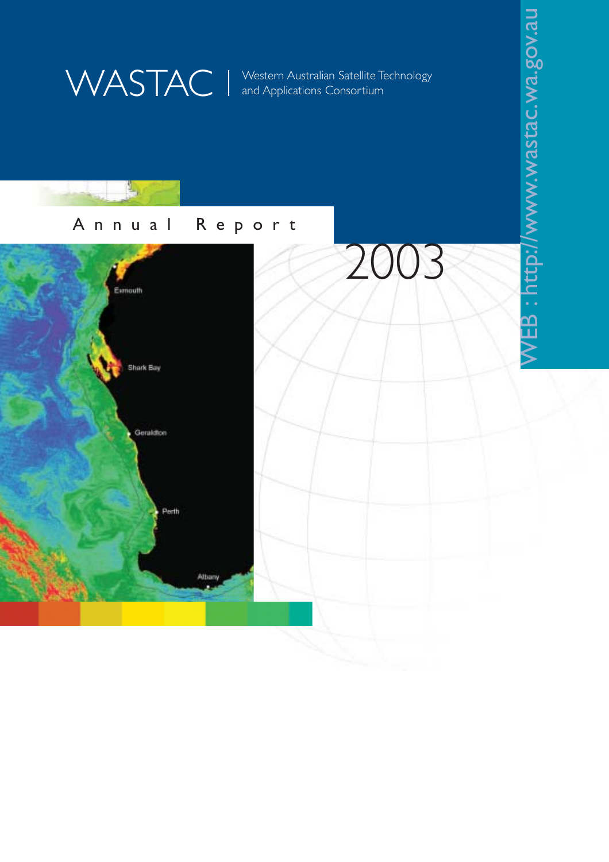WASTAC | Western Australian Satellite Technology<br>and Applications Consortium and Applications Consortium

WEB:http://www.wastac.wa.gov.au

WEB: http://www.wastac.wa.gov.au

## Annual Report

 $L_{\rm R}$ 

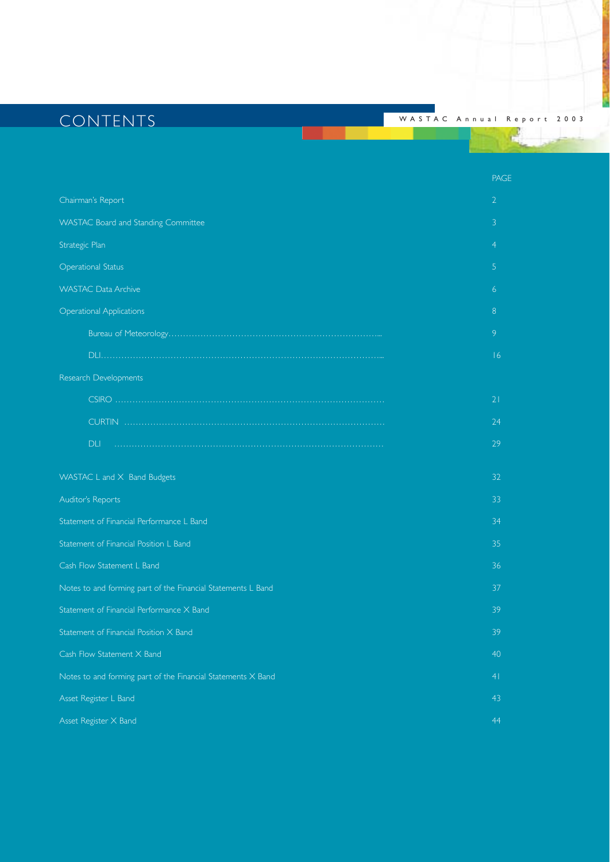# CONTENTS <sup>W</sup> ASTAC Annual Report 2003

PAGE

| Chairman's Report                                            | $\overline{2}$ |
|--------------------------------------------------------------|----------------|
| WASTAC Board and Standing Committee                          | 3              |
| Strategic Plan                                               | 4              |
| <b>Operational Status</b>                                    | 5              |
| <b>WASTAC Data Archive</b>                                   | 6              |
| <b>Operational Applications</b>                              | 8              |
|                                                              | 9              |
|                                                              | 16             |
| Research Developments                                        |                |
|                                                              | 21             |
|                                                              | 24             |
| DLI                                                          | 29             |
| WASTAC L and X Band Budgets                                  | 32             |
| Auditor's Reports                                            | 33             |
| Statement of Financial Performance L Band                    | 34             |
| Statement of Financial Position L Band                       | 35             |
| Cash Flow Statement L Band                                   | 36             |
| Notes to and forming part of the Financial Statements L Band | 37             |
| Statement of Financial Performance X Band                    | 39             |
| Statement of Financial Position X Band                       | 39             |
| Cash Flow Statement X Band                                   | 40             |
| Notes to and forming part of the Financial Statements X Band | 4 <sub>1</sub> |
| Asset Register L Band                                        | 43             |
| Asset Register X Band                                        | 44             |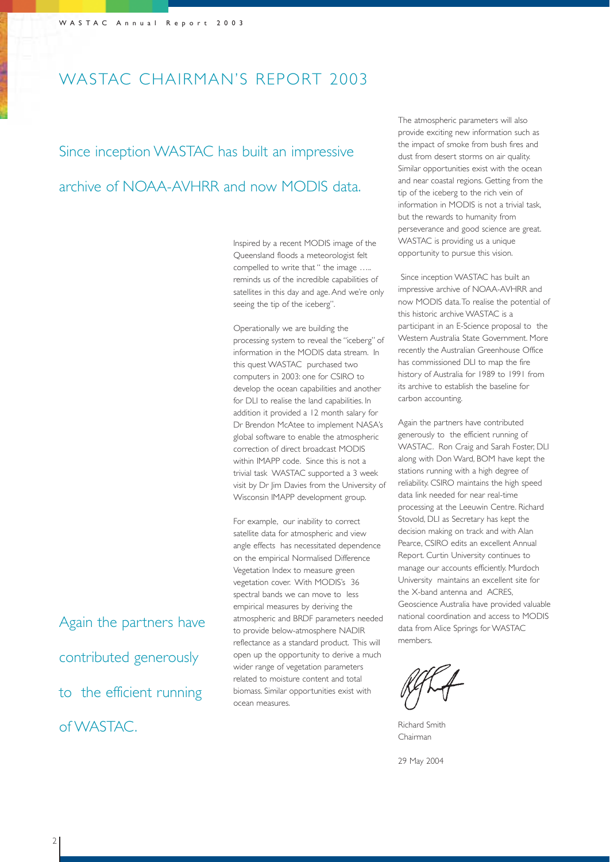## WASTAC CHAIRMAN'S REPORT 2003

Since inception WASTAC has built an impressive archive of NOAA-AVHRR and now MODIS data.

> Inspired by a recent MODIS image of the Queensland floods a meteorologist felt compelled to write that " the image ….. reminds us of the incredible capabilities of satellites in this day and age. And we're only seeing the tip of the iceberg".

Operationally we are building the processing system to reveal the "iceberg" of information in the MODIS data stream. In this quest WASTAC purchased two computers in 2003: one for CSIRO to develop the ocean capabilities and another for DLI to realise the land capabilities. In addition it provided a 12 month salary for Dr Brendon McAtee to implement NASA's global software to enable the atmospheric correction of direct broadcast MODIS within IMAPP code. Since this is not a trivial task WASTAC supported a 3 week visit by Dr Jim Davies from the University of Wisconsin IMAPP development group.

For example, our inability to correct satellite data for atmospheric and view angle effects has necessitated dependence on the empirical Normalised Difference Vegetation Index to measure green vegetation cover. With MODIS's 36 spectral bands we can move to less empirical measures by deriving the atmospheric and BRDF parameters needed to provide below-atmosphere NADIR reflectance as a standard product. This will open up the opportunity to derive a much wider range of vegetation parameters related to moisture content and total biomass. Similar opportunities exist with ocean measures.

The atmospheric parameters will also provide exciting new information such as the impact of smoke from bush fires and dust from desert storms on air quality. Similar opportunities exist with the ocean and near coastal regions. Getting from the tip of the iceberg to the rich vein of information in MODIS is not a trivial task, but the rewards to humanity from perseverance and good science are great. WASTAC is providing us a unique opportunity to pursue this vision.

Since inception WASTAC has built an impressive archive of NOAA-AVHRR and now MODIS data.To realise the potential of this historic archive WASTAC is a participant in an E-Science proposal to the Western Australia State Government. More recently the Australian Greenhouse Office has commissioned DLI to map the fire history of Australia for 1989 to 1991 from its archive to establish the baseline for carbon accounting.

Again the partners have contributed generously to the efficient running of WASTAC. Ron Craig and Sarah Foster, DLI along with Don Ward, BOM have kept the stations running with a high degree of reliability. CSIRO maintains the high speed data link needed for near real-time processing at the Leeuwin Centre. Richard Stovold, DLI as Secretary has kept the decision making on track and with Alan Pearce, CSIRO edits an excellent Annual Report. Curtin University continues to manage our accounts efficiently. Murdoch University maintains an excellent site for the X-band antenna and ACRES, Geoscience Australia have provided valuable national coordination and access to MODIS data from Alice Springs for WASTAC members.

Richard Smith Chairman

29 May 2004

Again the partners have contributed generously to the efficient running of WASTAC.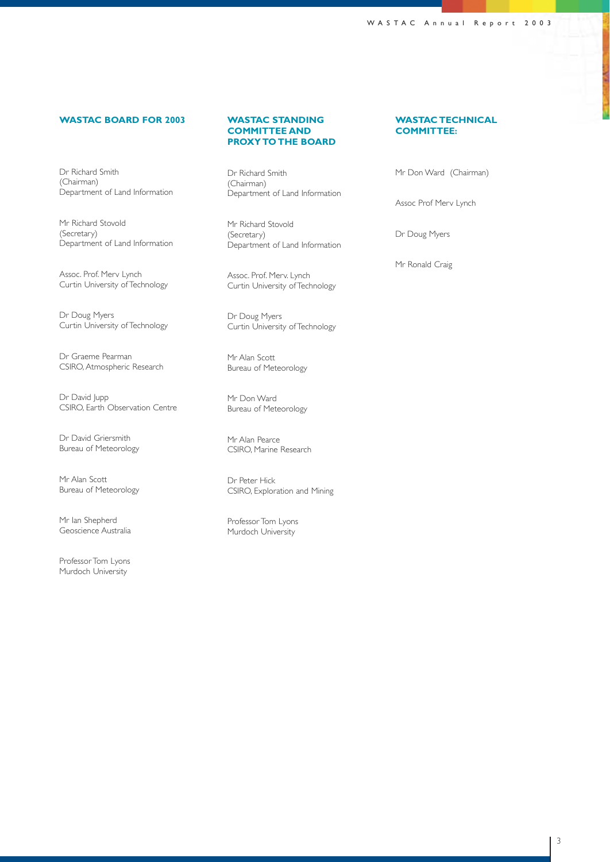### **WASTAC BOARD FOR 2003**

Dr Richard Smith (Chairman) Department of Land Information

Mr Richard Stovold (Secretary) Department of Land Information

Assoc. Prof. Merv Lynch Curtin University of Technology

Dr Doug Myers Curtin University of Technology

Dr Graeme Pearman CSIRO, Atmospheric Research

Dr David Jupp CSIRO, Earth Observation Centre

Dr David Griersmith Bureau of Meteorology

Mr Alan Scott Bureau of Meteorology

Mr Ian Shepherd Geoscience Australia

Professor Tom Lyons Murdoch University

#### **WASTAC STANDING COMMITTEE AND PROXY TO THE BOARD**

Dr Richard Smith (Chairman) Department of Land Information

Mr Richard Stovold (Secretary) Department of Land Information

Assoc. Prof. Merv. Lynch Curtin University of Technology

Dr Doug Myers Curtin University of Technology

Mr Alan Scott Bureau of Meteorology

Mr Don Ward Bureau of Meteorology

Mr Alan Pearce CSIRO, Marine Research

Dr Peter Hick CSIRO, Exploration and Mining

Professor Tom Lyons Murdoch University

#### **WASTAC TECHNICAL COMMITTEE:**

Mr Don Ward (Chairman)

Assoc Prof Merv Lynch

Dr Doug Myers

Mr Ronald Craig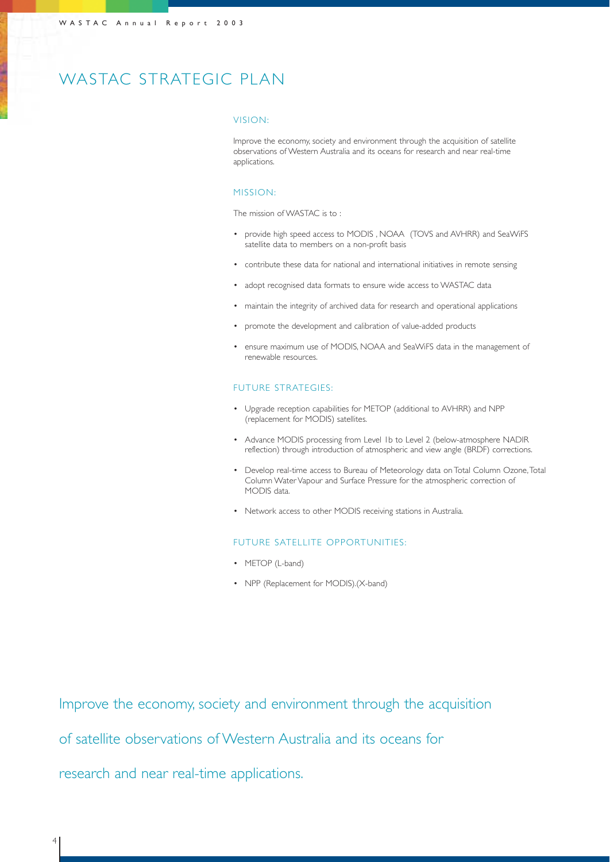## WASTAC STRATEGIC PLAN

#### VISION:

Improve the economy, society and environment through the acquisition of satellite observations of Western Australia and its oceans for research and near real-time applications.

### MISSION:

The mission of WASTAC is to :

- provide high speed access to MODIS , NOAA (TOVS and AVHRR) and SeaWiFS satellite data to members on a non-profit basis
- contribute these data for national and international initiatives in remote sensing
- adopt recognised data formats to ensure wide access to WASTAC data
- maintain the integrity of archived data for research and operational applications
- promote the development and calibration of value-added products
- ensure maximum use of MODIS, NOAA and SeaWiFS data in the management of renewable resources.

#### FUTURE STRATEGIES:

- Upgrade reception capabilities for METOP (additional to AVHRR) and NPP (replacement for MODIS) satellites.
- Advance MODIS processing from Level 1b to Level 2 (below-atmosphere NADIR reflection) through introduction of atmospheric and view angle (BRDF) corrections.
- Develop real-time access to Bureau of Meteorology data on Total Column Ozone,Total Column Water Vapour and Surface Pressure for the atmospheric correction of MODIS data.
- Network access to other MODIS receiving stations in Australia.

#### FUTURE SATELLITE OPPORTUNITIES:

- METOP (L-band)
- NPP (Replacement for MODIS).(X-band)

Improve the economy, society and environment through the acquisition

of satellite observations of Western Australia and its oceans for

research and near real-time applications.

4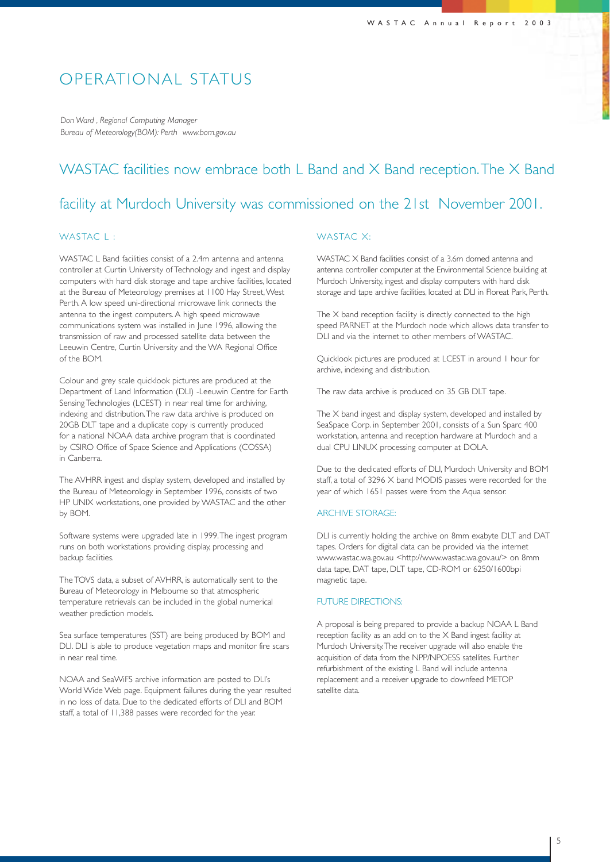### OPERATIONAL STATUS

*Don Ward , Regional Computing Manager Bureau of Meteorology(BOM): Perth www.bom.gov.au*

### WASTAC facilities now embrace both L Band and X Band reception. The X Band

### facility at Murdoch University was commissioned on the 21st November 2001.

### WASTAC L:

WASTAC L Band facilities consist of a 2.4m antenna and antenna controller at Curtin University of Technology and ingest and display computers with hard disk storage and tape archive facilities, located at the Bureau of Meteorology premises at 1100 Hay Street, West Perth. A low speed uni-directional microwave link connects the antenna to the ingest computers. A high speed microwave communications system was installed in June 1996, allowing the transmission of raw and processed satellite data between the Leeuwin Centre, Curtin University and the WA Regional Office of the BOM.

Colour and grey scale quicklook pictures are produced at the Department of Land Information (DLI) -Leeuwin Centre for Earth Sensing Technologies (LCEST) in near real time for archiving, indexing and distribution.The raw data archive is produced on 20GB DLT tape and a duplicate copy is currently produced for a national NOAA data archive program that is coordinated by CSIRO Office of Space Science and Applications (COSSA) in Canberra.

The AVHRR ingest and display system, developed and installed by the Bureau of Meteorology in September 1996, consists of two HP UNIX workstations, one provided by WASTAC and the other by BOM.

Software systems were upgraded late in 1999.The ingest program runs on both workstations providing display, processing and backup facilities.

The TOVS data, a subset of AVHRR, is automatically sent to the Bureau of Meteorology in Melbourne so that atmospheric temperature retrievals can be included in the global numerical weather prediction models.

Sea surface temperatures (SST) are being produced by BOM and DLI. DLI is able to produce vegetation maps and monitor fire scars in near real time.

NOAA and SeaWiFS archive information are posted to DLI's World Wide Web page. Equipment failures during the year resulted in no loss of data. Due to the dedicated efforts of DLI and BOM staff, a total of 11,388 passes were recorded for the year.

#### WASTAC X:

WASTAC X Band facilities consist of a 3.6m domed antenna and antenna controller computer at the Environmental Science building at Murdoch University, ingest and display computers with hard disk storage and tape archive facilities, located at DLI in Floreat Park, Perth.

The X band reception facility is directly connected to the high speed PARNET at the Murdoch node which allows data transfer to DLI and via the internet to other members of WASTAC.

Quicklook pictures are produced at LCEST in around 1 hour for archive, indexing and distribution.

The raw data archive is produced on 35 GB DLT tape.

The X band ingest and display system, developed and installed by SeaSpace Corp. in September 2001, consists of a Sun Sparc 400 workstation, antenna and reception hardware at Murdoch and a dual CPU LINUX processing computer at DOLA.

Due to the dedicated efforts of DLI, Murdoch University and BOM staff, a total of 3296 X band MODIS passes were recorded for the year of which 1651 passes were from the Aqua sensor.

#### ARCHIVE STORAGE:

DLI is currently holding the archive on 8mm exabyte DLT and DAT tapes. Orders for digital data can be provided via the internet www.wastac.wa.gov.au <http://www.wastac.wa.gov.au/> on 8mm data tape, DAT tape, DLT tape, CD-ROM or 6250/1600bpi magnetic tape.

#### FUTURE DIRECTIONS:

A proposal is being prepared to provide a backup NOAA L Band reception facility as an add on to the X Band ingest facility at Murdoch University.The receiver upgrade will also enable the acquisition of data from the NPP/NPOESS satellites. Further refurbishment of the existing L Band will include antenna replacement and a receiver upgrade to downfeed METOP satellite data.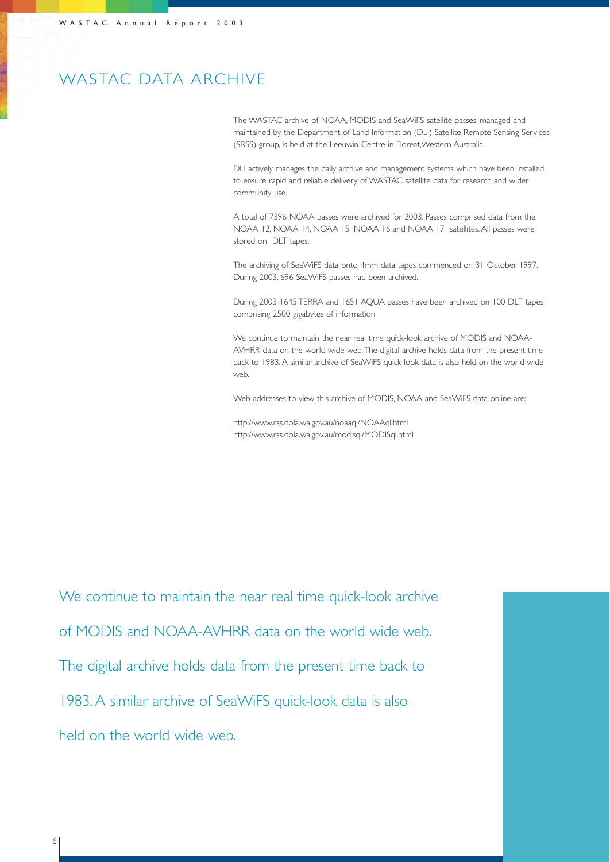## WASTAC DATA ARCHIVE

The WASTAC archive of NOAA, MODIS and SeaWiFS satellite passes, managed and maintained by the Department of Land Information (DLI) Satellite Remote Sensing Services (SRSS) group, is held at the Leeuwin Centre in Floreat,Western Australia.

DLI actively manages the daily archive and management systems which have been installed to ensure rapid and reliable delivery of WASTAC satellite data for research and wider community use.

A total of 7396 NOAA passes were archived for 2003. Passes comprised data from the NOAA 12, NOAA 14, NOAA 15 ,NOAA 16 and NOAA 17 satellites. All passes were stored on DLT tapes.

The archiving of SeaWiFS data onto 4mm data tapes commenced on 31 October 1997. During 2003, 696 SeaWiFS passes had been archived.

During 2003 1645 TERRA and 1651 AQUA passes have been archived on 100 DLT tapes comprising 2500 gigabytes of information.

We continue to maintain the near real time quick-look archive of MODIS and NOAA-AVHRR data on the world wide web.The digital archive holds data from the present time back to 1983. A similar archive of SeaWiFS quick-look data is also held on the world wide web.

Web addresses to view this archive of MODIS, NOAA and SeaWiFS data online are:

http://www.rss.dola.wa.gov.au/noaaql/NOAAql.html http://www.rss.dola.wa.gov.au/modisql/MODISql.html

We continue to maintain the near real time quick-look archive of MODIS and NOAA-AVHRR data on the world wide web. The digital archive holds data from the present time back to 1983. A similar archive of SeaWiFS quick-look data is also held on the world wide web.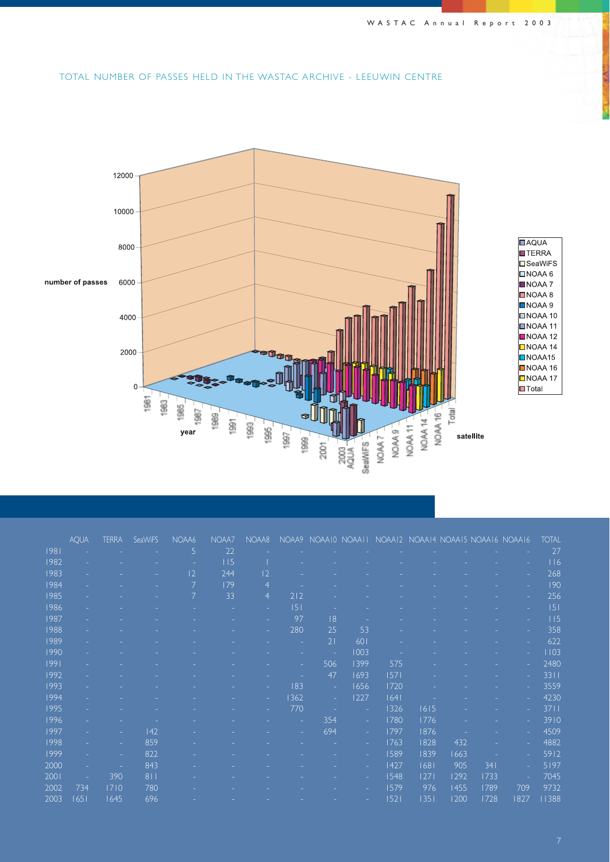### TOTAL NUMBER OF PASSES HELD IN THE WASTAC ARCHIVE - LEEUWIN CENTRE



|      | <b>AQUA</b> | <b>TERRA</b> | <b>SeaWiFS</b> | NOAA6 | NOAA7 | NOAA8          | NOAA9 |     |      |      |      | NOAAIO NOAAII NOAAI2 NOAAI4 NOAAI5 NOAAI6 NOAAI6 |      |      | <b>TOTAL</b> |
|------|-------------|--------------|----------------|-------|-------|----------------|-------|-----|------|------|------|--------------------------------------------------|------|------|--------------|
| 1981 |             |              |                | 5     | 22    |                |       |     |      |      |      |                                                  |      |      | 27           |
| 1982 |             |              |                |       | 115   |                |       |     |      |      |      |                                                  |      |      | 116          |
| 1983 |             |              |                | 2     | 244   | 2              |       |     |      |      |      |                                                  |      |      | 268          |
| 1984 |             |              |                | 7     | 179   | $\overline{4}$ |       |     |      |      |      |                                                  |      |      | 190          |
| 1985 |             |              |                | 7     | 33    | $\overline{4}$ | 212   |     |      |      |      |                                                  |      |      | 256          |
| 1986 |             |              |                |       |       |                | 5     |     |      |      |      |                                                  |      |      | 5            |
| 1987 |             |              |                |       |       |                | 97    | 8   |      |      |      |                                                  |      |      | 115          |
| 1988 |             |              |                |       |       |                | 280   | 25  | 53   |      |      |                                                  |      |      | 358          |
| 1989 |             |              |                |       |       |                |       | 21  | 601  |      |      |                                                  |      |      | 622          |
| 1990 |             |              |                |       |       |                |       | ٠   | 1003 |      |      |                                                  |      |      | 1103         |
| 1991 |             |              |                |       |       |                |       | 506 | 1399 | 575  |      |                                                  |      |      | 2480         |
| 1992 |             |              |                |       |       |                |       | 47  | 1693 | 1571 |      |                                                  |      |      | 3311         |
| 1993 |             |              |                |       |       |                | 183   | ٠   | 1656 | 1720 |      |                                                  |      |      | 3559         |
| 1994 |             |              |                |       |       |                | 362   | ٠   | 1227 | 1641 |      |                                                  |      |      | 4230         |
| 1995 |             |              |                |       |       |                | 770   |     | ٠    | 1326 | 1615 |                                                  |      | ÷    | 3711         |
| 1996 |             |              |                |       |       |                |       | 354 | ÷    | 1780 | 1776 |                                                  |      |      | $3910$       |
| 1997 |             |              | 42             |       |       |                |       | 694 | ÷    | 1797 | 1876 |                                                  |      |      | 4509         |
| 1998 |             |              | 859            |       |       |                |       |     | ÷    | 1763 | 1828 | 432                                              |      |      | 4882         |
| 1999 |             |              | 822            |       |       |                |       |     |      | 1589 | 1839 | 1663                                             |      |      | 5912         |
| 2000 |             |              | 843            |       |       |                |       |     | ÷    | 1427 | 1681 | 905                                              | 341  |      | 5197         |
| 2001 |             | 390          | 811            |       |       |                |       |     |      | 1548 | 27   | 1292                                             | 1733 |      | 7045         |
| 2002 | 734         | 1710         | 780            |       |       |                |       |     |      | 1579 | 976  | 1455                                             | 1789 | 709  | 9732         |
| 2003 | 1651        | 1645         | 696            |       |       |                |       |     |      | 1521 | 1351 | 1200                                             | 1728 | 1827 | 11388        |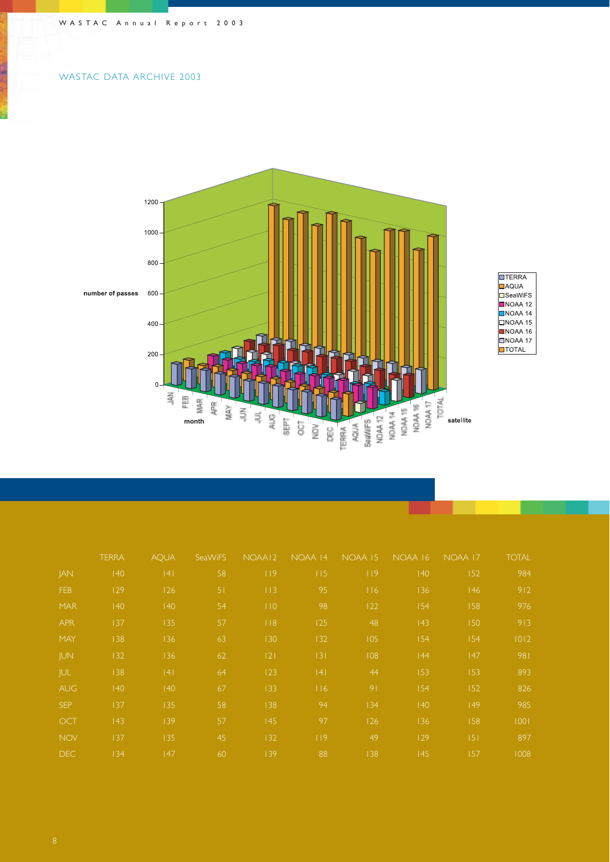### WASTAC DATA ARCHIVE 2003



|            | <b>TERRA</b> | <b>AOUA</b> | SeaWiFS | NOAA12          | NOAA 14 | NOAA 15        | NOAA 16      | NOAA 17      | <b>TOTAL</b> |
|------------|--------------|-------------|---------|-----------------|---------|----------------|--------------|--------------|--------------|
| JAN        | 140          | 4           | 58      | 19              | 115     | 119            | $ 40\rangle$ | 152          | 984          |
| <b>FEB</b> | 129          | 126         | 51      | 113             | 95      | 116            | 136          | 46           | 912          |
| <b>MAR</b> | 140          | 140         | 54      | 10              | 98      | 122            | 154          | 158          | 976          |
| <b>APR</b> | 137          | 135         | 57      | $ $ $ $ $ $ $ $ | 125     | 48             | 43           | 150          | 913          |
| MAY        | 138          | 136         | 63      | 130             | 132     | 105            | $ 54\rangle$ | 154          | 1012         |
| <b>JUN</b> | 132          | 136         | 62      | 121             | 3       | 108            | 44           | 47           | 981          |
| JUL.       | 138          | 4           | 64      | 123             | 4       | 44             | 153          | 153          | 893          |
| AUG,       | 40           | 40          | 67      | 133             | 116     | 9 <sub>1</sub> | $ 54\rangle$ | 152          | 826          |
| <b>SEP</b> | 137          | 135         | 58      | 138             | 94      | 134            | $ 40\rangle$ | $ 49\rangle$ | 985          |
| <b>OCT</b> | 43           | 139         | 57      | 45              | 97      | 126            | 136          | 158          | 1001         |
| <b>NOV</b> | 137          | 135         | 45      | 132             | 119     | 49             | 129          | 5            | 897          |
| DEC.       | 134          | 47          | 60      | 139             | 88      | 138            | 45           | 157          | 1008         |

**COLL**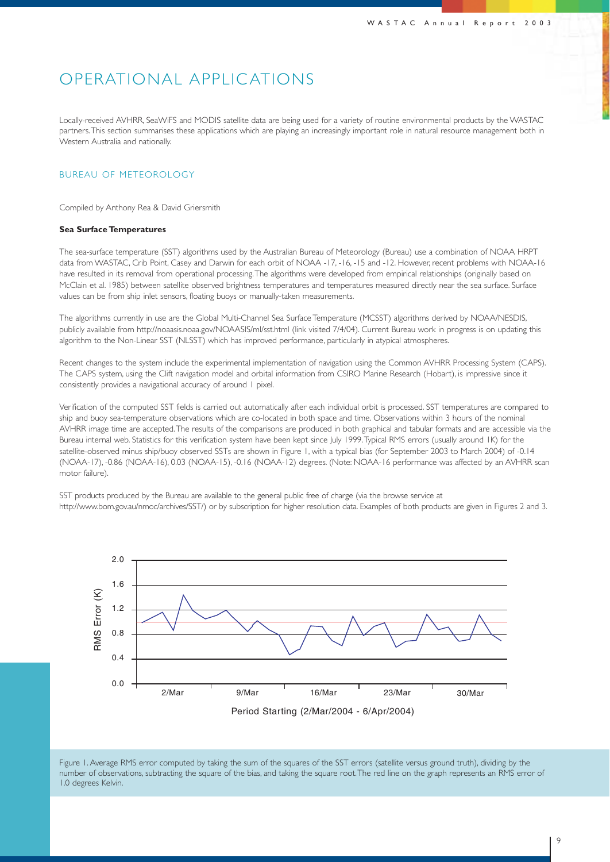### OPERATIONAL APPLIC ATIONS

Locally-received AVHRR, SeaWiFS and MODIS satellite data are being used for a variety of routine environmental products by the WASTAC partners.This section summarises these applications which are playing an increasingly important role in natural resource management both in Western Australia and nationally.

### BUREAU OF METEOROLOGY

Compiled by Anthony Rea & David Griersmith

#### **Sea Surface Temperatures**

The sea-surface temperature (SST) algorithms used by the Australian Bureau of Meteorology (Bureau) use a combination of NOAA HRPT data from WASTAC, Crib Point, Casey and Darwin for each orbit of NOAA -17, -16, -15 and -12. However, recent problems with NOAA-16 have resulted in its removal from operational processing.The algorithms were developed from empirical relationships (originally based on McClain et al. 1985) between satellite observed brightness temperatures and temperatures measured directly near the sea surface. Surface values can be from ship inlet sensors, floating buoys or manually-taken measurements.

The algorithms currently in use are the Global Multi-Channel Sea Surface Temperature (MCSST) algorithms derived by NOAA/NESDIS, publicly available from http://noaasis.noaa.gov/NOAASIS/ml/sst.html (link visited 7/4/04). Current Bureau work in progress is on updating this algorithm to the Non-Linear SST (NLSST) which has improved performance, particularly in atypical atmospheres.

Recent changes to the system include the experimental implementation of navigation using the Common AVHRR Processing System (CAPS). The CAPS system, using the Clift navigation model and orbital information from CSIRO Marine Research (Hobart), is impressive since it consistently provides a navigational accuracy of around 1 pixel.

Verification of the computed SST fields is carried out automatically after each individual orbit is processed. SST temperatures are compared to ship and buoy sea-temperature observations which are co-located in both space and time. Observations within 3 hours of the nominal AVHRR image time are accepted.The results of the comparisons are produced in both graphical and tabular formats and are accessible via the Bureau internal web. Statistics for this verification system have been kept since July 1999.Typical RMS errors (usually around 1K) for the satellite-observed minus ship/buoy observed SSTs are shown in Figure 1, with a typical bias (for September 2003 to March 2004) of -0.14 (NOAA-17), -0.86 (NOAA-16), 0.03 (NOAA-15), -0.16 (NOAA-12) degrees. (Note: NOAA-16 performance was affected by an AVHRR scan motor failure).

SST products produced by the Bureau are available to the general public free of charge (via the browse service at http://www.bom.gov.au/nmoc/archives/SST/) or by subscription for higher resolution data. Examples of both products are given in Figures 2 and 3.



Figure 1. Average RMS error computed by taking the sum of the squares of the SST errors (satellite versus ground truth), dividing by the number of observations, subtracting the square of the bias, and taking the square root.The red line on the graph represents an RMS error of 1.0 degrees Kelvin.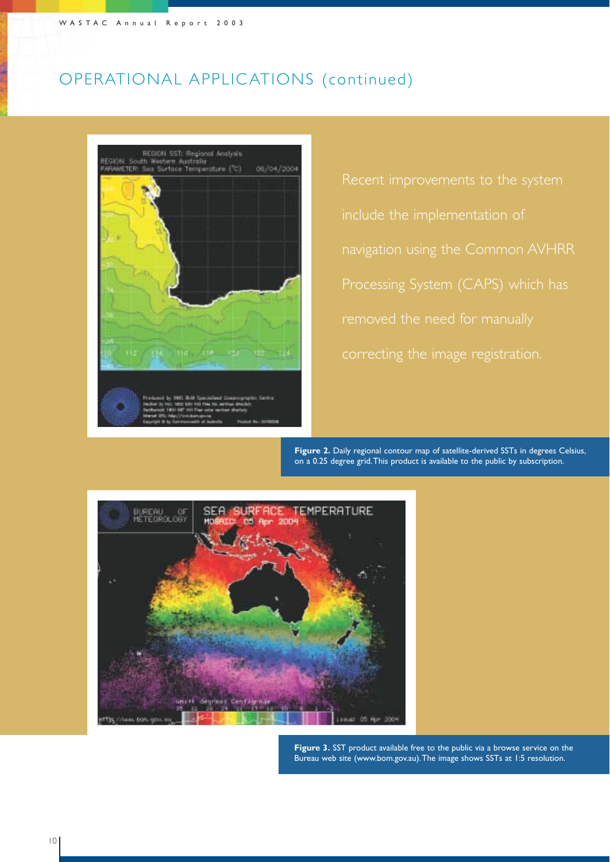## OPERATIONAL APPLIC ATIONS (continued)



Figure 2. Daily removed the need for manually navigation using the Common AVHRR correcting the image registration.

**Figure 2.** Daily regional contour map of satellite-derived SSTs in degrees Celsius, on a 0.25 degree grid.This product is available to the public by subscription.



**Figure 3.** SST product available free to the public via a browse service on the Bureau web site (www.bom.gov.au).The image shows SSTs at 1:5 resolution.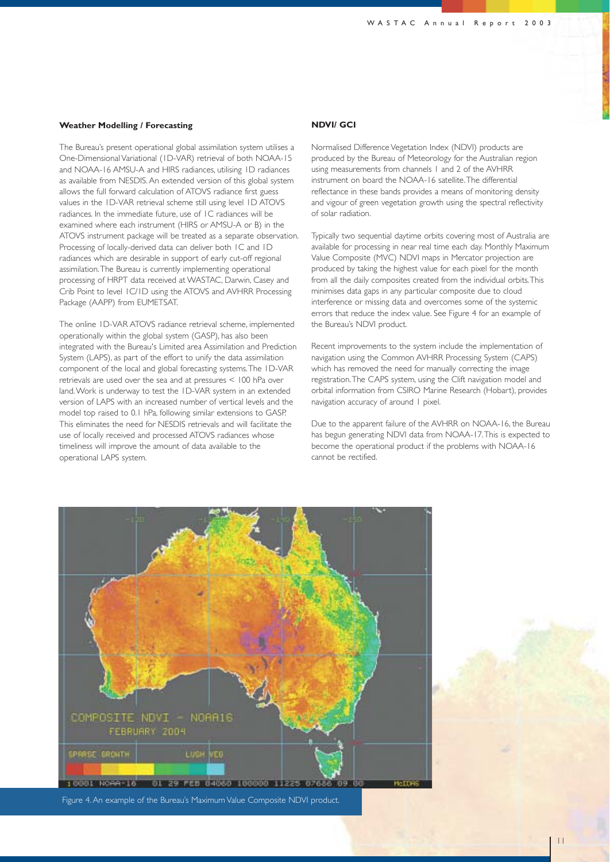#### **Weather Modelling / Forecasting**

The Bureau's present operational global assimilation system utilises a One-Dimensional Variational (1D-VAR) retrieval of both NOAA-15 and NOAA-16 AMSU-A and HIRS radiances, utilising 1D radiances as available from NESDIS. An extended version of this global system allows the full forward calculation of ATOVS radiance first guess values in the 1D-VAR retrieval scheme still using level 1D ATOVS radiances. In the immediate future, use of 1C radiances will be examined where each instrument (HIRS or AMSU-A or B) in the ATOVS instrument package will be treated as a separate observation. Processing of locally-derived data can deliver both 1C and 1D radiances which are desirable in support of early cut-off regional assimilation.The Bureau is currently implementing operational processing of HRPT data received at WASTAC, Darwin, Casey and Crib Point to level 1C/1D using the ATOVS and AVHRR Processing Package (AAPP) from EUMETSAT.

The online 1D-VAR ATOVS radiance retrieval scheme, implemented operationally within the global system (GASP), has also been integrated with the Bureau's Limited area Assimilation and Prediction System (LAPS), as part of the effort to unify the data assimilation component of the local and global forecasting systems.The 1D-VAR retrievals are used over the sea and at pressures < 100 hPa over land.Work is underway to test the 1D-VAR system in an extended version of LAPS with an increased number of vertical levels and the model top raised to 0.1 hPa, following similar extensions to GASP. This eliminates the need for NESDIS retrievals and will facilitate the use of locally received and processed ATOVS radiances whose timeliness will improve the amount of data available to the operational LAPS system.

#### **NDVI/ GCI**

Normalised Difference Vegetation Index (NDVI) products are produced by the Bureau of Meteorology for the Australian region using measurements from channels 1 and 2 of the AVHRR instrument on board the NOAA-16 satellite.The differential reflectance in these bands provides a means of monitoring density and vigour of green vegetation growth using the spectral reflectivity of solar radiation.

Typically two sequential daytime orbits covering most of Australia are available for processing in near real time each day. Monthly Maximum Value Composite (MVC) NDVI maps in Mercator projection are produced by taking the highest value for each pixel for the month from all the daily composites created from the individual orbits.This minimises data gaps in any particular composite due to cloud interference or missing data and overcomes some of the systemic errors that reduce the index value. See Figure 4 for an example of the Bureau's NDVI product.

Recent improvements to the system include the implementation of navigation using the Common AVHRR Processing System (CAPS) which has removed the need for manually correcting the image registration.The CAPS system, using the Clift navigation model and orbital information from CSIRO Marine Research (Hobart), provides navigation accuracy of around 1 pixel.

Due to the apparent failure of the AVHRR on NOAA-16, the Bureau has begun generating NDVI data from NOAA-17.This is expected to become the operational product if the problems with NOAA-16 cannot be rectified.



Figure 4. An example of the Bureau's Maximum Value Composite NDVI product.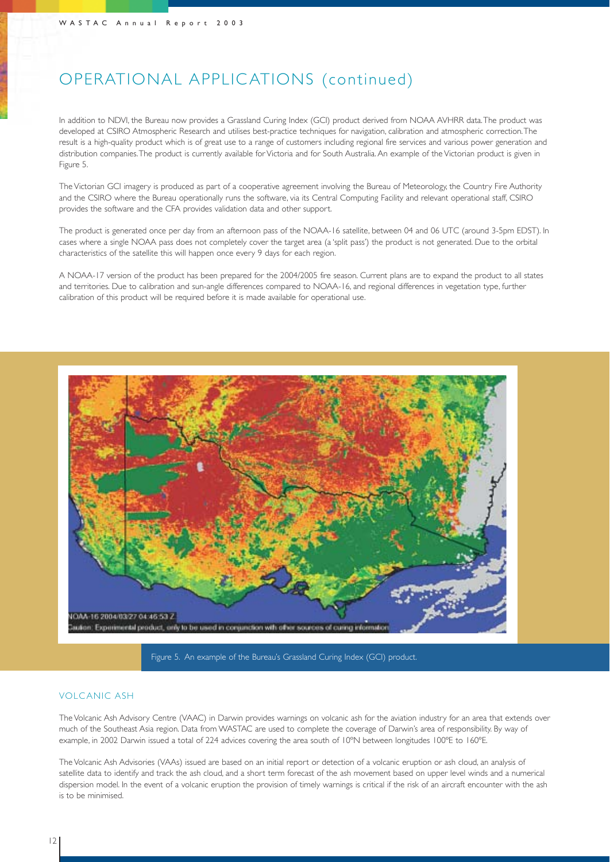## OPERATIONAL APPLIC ATIONS (continued)

In addition to NDVI, the Bureau now provides a Grassland Curing Index (GCI) product derived from NOAA AVHRR data.The product was developed at CSIRO Atmospheric Research and utilises best-practice techniques for navigation, calibration and atmospheric correction.The result is a high-quality product which is of great use to a range of customers including regional fire services and various power generation and distribution companies.The product is currently available for Victoria and for South Australia. An example of the Victorian product is given in Figure 5.

The Victorian GCI imagery is produced as part of a cooperative agreement involving the Bureau of Meteorology, the Country Fire Authority and the CSIRO where the Bureau operationally runs the software, via its Central Computing Facility and relevant operational staff, CSIRO provides the software and the CFA provides validation data and other support.

The product is generated once per day from an afternoon pass of the NOAA-16 satellite, between 04 and 06 UTC (around 3-5pm EDST). In cases where a single NOAA pass does not completely cover the target area (a 'split pass') the product is not generated. Due to the orbital characteristics of the satellite this will happen once every 9 days for each region.

A NOAA-17 version of the product has been prepared for the 2004/2005 fire season. Current plans are to expand the product to all states and territories. Due to calibration and sun-angle differences compared to NOAA-16, and regional differences in vegetation type, further calibration of this product will be required before it is made available for operational use.





### VOLCANIC ASH

The Volcanic Ash Advisory Centre (VAAC) in Darwin provides warnings on volcanic ash for the aviation industry for an area that extends over much of the Southeast Asia region. Data from WASTAC are used to complete the coverage of Darwin's area of responsibility. By way of example, in 2002 Darwin issued a total of 224 advices covering the area south of 10ºN between longitudes 100ºE to 160ºE.

The Volcanic Ash Advisories (VAAs) issued are based on an initial report or detection of a volcanic eruption or ash cloud, an analysis of satellite data to identify and track the ash cloud, and a short term forecast of the ash movement based on upper level winds and a numerical dispersion model. In the event of a volcanic eruption the provision of timely warnings is critical if the risk of an aircraft encounter with the ash is to be minimised.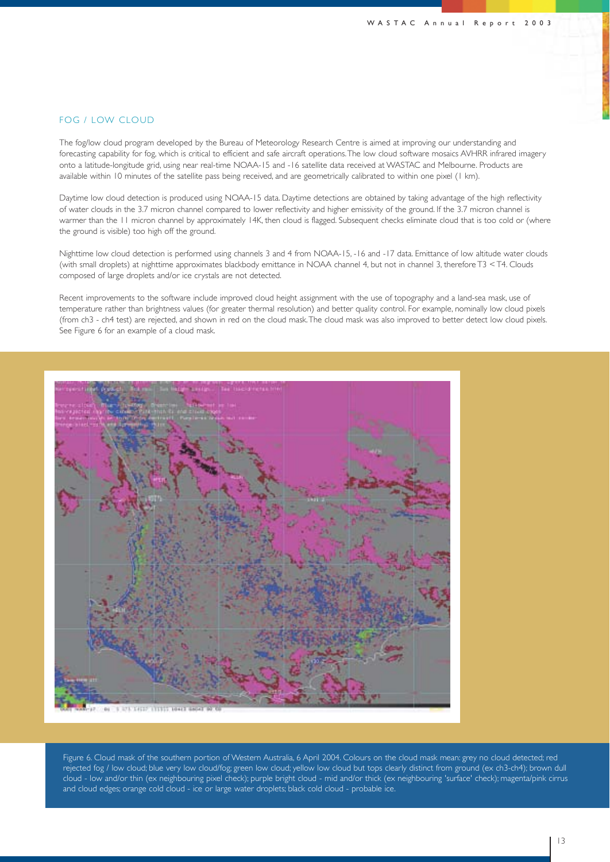### FOG / LOW CLOUD

The fog/low cloud program developed by the Bureau of Meteorology Research Centre is aimed at improving our understanding and forecasting capability for fog, which is critical to efficient and safe aircraft operations.The low cloud software mosaics AVHRR infrared imagery onto a latitude-longitude grid, using near real-time NOAA-15 and -16 satellite data received at WASTAC and Melbourne. Products are available within 10 minutes of the satellite pass being received, and are geometrically calibrated to within one pixel (1 km).

Daytime low cloud detection is produced using NOAA-15 data. Daytime detections are obtained by taking advantage of the high reflectivity of water clouds in the 3.7 micron channel compared to lower reflectivity and higher emissivity of the ground. If the 3.7 micron channel is warmer than the 11 micron channel by approximately 14K, then cloud is flagged. Subsequent checks eliminate cloud that is too cold or (where the ground is visible) too high off the ground.

Nighttime low cloud detection is performed using channels 3 and 4 from NOAA-15, -16 and -17 data. Emittance of low altitude water clouds (with small droplets) at nighttime approximates blackbody emittance in NOAA channel 4, but not in channel 3, therefore T3 < T4. Clouds composed of large droplets and/or ice crystals are not detected.

Recent improvements to the software include improved cloud height assignment with the use of topography and a land-sea mask, use of temperature rather than brightness values (for greater thermal resolution) and better quality control. For example, nominally low cloud pixels (from ch3 - ch4 test) are rejected, and shown in red on the cloud mask.The cloud mask was also improved to better detect low cloud pixels. See Figure 6 for an example of a cloud mask.



Figure 6. Cloud mask of the southern portion of Western Australia, 6 April 2004. Colours on the cloud mask mean: grey no cloud detected; red rejected fog / low cloud; blue very low cloud/fog; green low cloud; yellow low cloud but tops clearly distinct from ground (ex ch3-ch4); brown dull cloud - low and/or thin (ex neighbouring pixel check); purple bright cloud - mid and/or thick (ex neighbouring 'surface' check); magenta/pink cirrus and cloud edges; orange cold cloud - ice or large water droplets; black cold cloud - probable ice.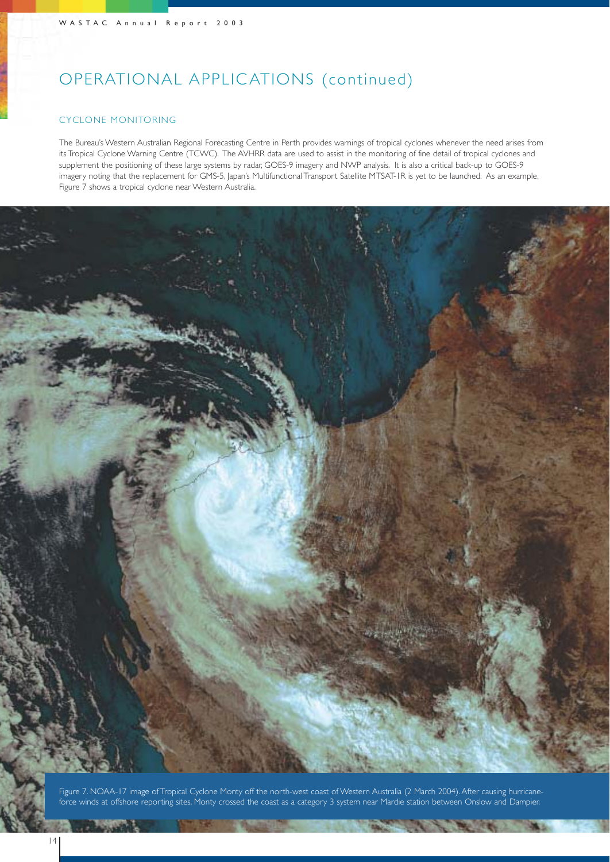## OPERATIONAL APPLIC ATIONS (continued)

### CYCLONE MONITORING

The Bureau's Western Australian Regional Forecasting Centre in Perth provides warnings of tropical cyclones whenever the need arises from its Tropical Cyclone Warning Centre (TCWC). The AVHRR data are used to assist in the monitoring of fine detail of tropical cyclones and supplement the positioning of these large systems by radar, GOES-9 imagery and NWP analysis. It is also a critical back-up to GOES-9 imagery noting that the replacement for GMS-5, Japan's Multifunctional Transport Satellite MTSAT-1R is yet to be launched. As an example, Figure 7 shows a tropical cyclone near Western Australia.



Figure 7. NOAA-17 image of Tropical Cyclone Monty off the north-west coast of Western Australia (2 March 2004). After causing hurricaneforce winds at offshore reporting sites, Monty crossed the coast as a category 3 system near Mardie station between Onslow and Dampier.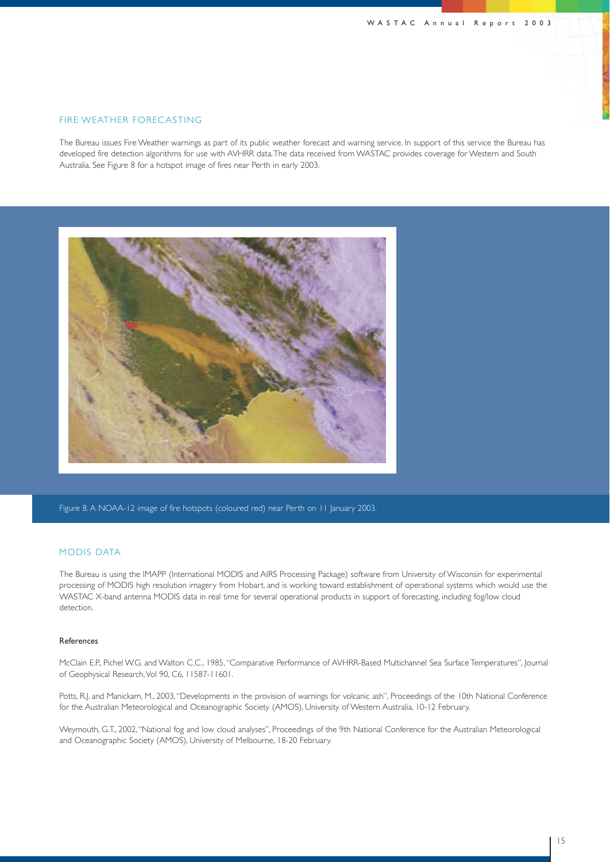#### FIRE WEATHER FORECASTING

The Bureau issues Fire Weather warnings as part of its public weather forecast and warning service. In support of this service the Bureau has developed fire detection algorithms for use with AVHRR data.The data received from WASTAC provides coverage for Western and South Australia. See Figure 8 for a hotspot image of fires near Perth in early 2003.



Figure 8. A NOAA-12 image of fire hotspots (coloured red) near Perth on 11 January 2003.

### MODIS DATA

The Bureau is using the IMAPP (International MODIS and AIRS Processing Package) software from University of Wisconsin for experimental processing of MODIS high resolution imagery from Hobart, and is working toward establishment of operational systems which would use the WASTAC X-band antenna MODIS data in real time for several operational products in support of forecasting, including fog/low cloud detection.

#### References

McClain E.P., Pichel W.G. and Walton C.C., 1985,"Comparative Performance of AVHRR-Based Multichannel Sea Surface Temperatures", Journal of Geophysical Research,Vol 90, C6, 11587-11601.

Potts, R.J. and Manickam, M., 2003,"Developments in the provision of warnings for volcanic ash", Proceedings of the 10th National Conference for the Australian Meteorological and Oceanographic Society (AMOS), University of Western Australia, 10-12 February.

Weymouth, G.T., 2002,"National fog and low cloud analyses", Proceedings of the 9th National Conference for the Australian Meteorological and Oceanographic Society (AMOS), University of Melbourne, 18-20 February.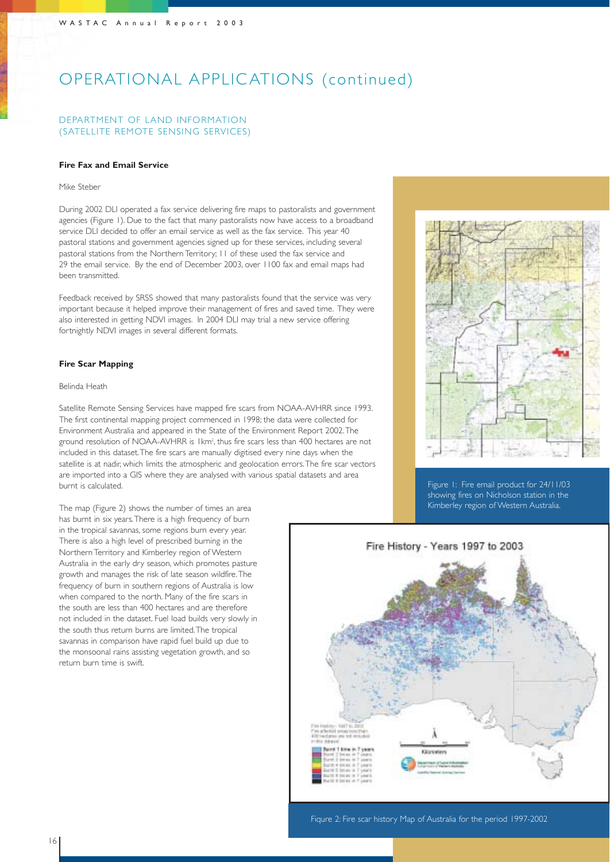## OPERATIONAL APPLIC ATIONS (continued)

### DEPARTMENT OF LAND INFORMATION (SATELLITE REMOTE SENSING SERVICES)

#### **Fire Fax and Email Service**

#### Mike Steber

During 2002 DLI operated a fax service delivering fire maps to pastoralists and government agencies (Figure 1). Due to the fact that many pastoralists now have access to a broadband service DLI decided to offer an email service as well as the fax service. This year 40 pastoral stations and government agencies signed up for these services, including several pastoral stations from the Northern Territory; 11 of these used the fax service and 29 the email service. By the end of December 2003, over 1100 fax and email maps had been transmitted.

Feedback received by SRSS showed that many pastoralists found that the service was very important because it helped improve their management of fires and saved time. They were also interested in getting NDVI images. In 2004 DLI may trial a new service offering fortnightly NDVI images in several different formats.

#### **Fire Scar Mapping**

#### Belinda Heath

Satellite Remote Sensing Services have mapped fire scars from NOAA-AVHRR since 1993. The first continental mapping project commenced in 1998; the data were collected for Environment Australia and appeared in the State of the Environment Report 2002.The ground resolution of NOAA-AVHRR is 1km<sup>2</sup>, thus fire scars less than 400 hectares are not included in this dataset.The fire scars are manually digitised every nine days when the satellite is at nadir, which limits the atmospheric and geolocation errors.The fire scar vectors are imported into a GIS where they are analysed with various spatial datasets and area burnt is calculated.

The map (Figure 2) shows the number of times an area has burnt in six years.There is a high frequency of burn in the tropical savannas, some regions burn every year. There is also a high level of prescribed burning in the Northern Territory and Kimberley region of Western Australia in the early dry season, which promotes pasture growth and manages the risk of late season wildfire.The frequency of burn in southern regions of Australia is low when compared to the north. Many of the fire scars in the south are less than 400 hectares and are therefore not included in the dataset. Fuel load builds very slowly in the south thus return burns are limited.The tropical savannas in comparison have rapid fuel build up due to the monsoonal rains assisting vegetation growth, and so return burn time is swift.



Figure 1: Fire email product for 24/11/03 showing fires on Nicholson station in the Kimberley region of Western Australia.

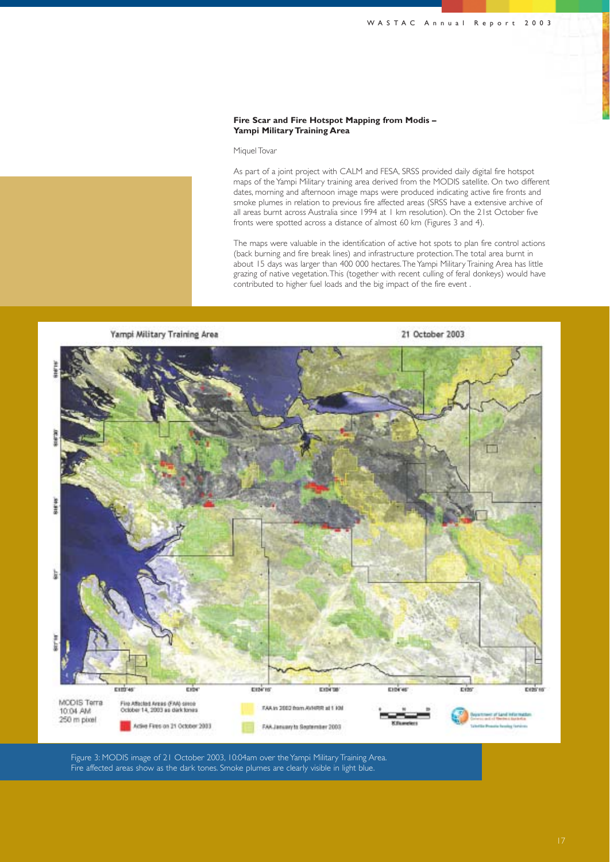#### **Fire Scar and Fire Hotspot Mapping from Modis – Yampi Military Training Area**

#### Miquel Tovar

As part of a joint project with CALM and FESA, SRSS provided daily digital fire hotspot maps of the Yampi Military training area derived from the MODIS satellite. On two different dates, morning and afternoon image maps were produced indicating active fire fronts and smoke plumes in relation to previous fire affected areas (SRSS have a extensive archive of all areas burnt across Australia since 1994 at 1 km resolution). On the 21st October five fronts were spotted across a distance of almost 60 km (Figures 3 and 4).

The maps were valuable in the identification of active hot spots to plan fire control actions (back burning and fire break lines) and infrastructure protection.The total area burnt in about 15 days was larger than 400 000 hectares.The Yampi Military Training Area has little grazing of native vegetation.This (together with recent culling of feral donkeys) would have contributed to higher fuel loads and the big impact of the fire event .



Figure 3: MODIS image of 21 October 2003, 10:04am over the Yampi Military Training Area. Fire affected areas show as the dark tones. Smoke plumes are clearly visible in light blue.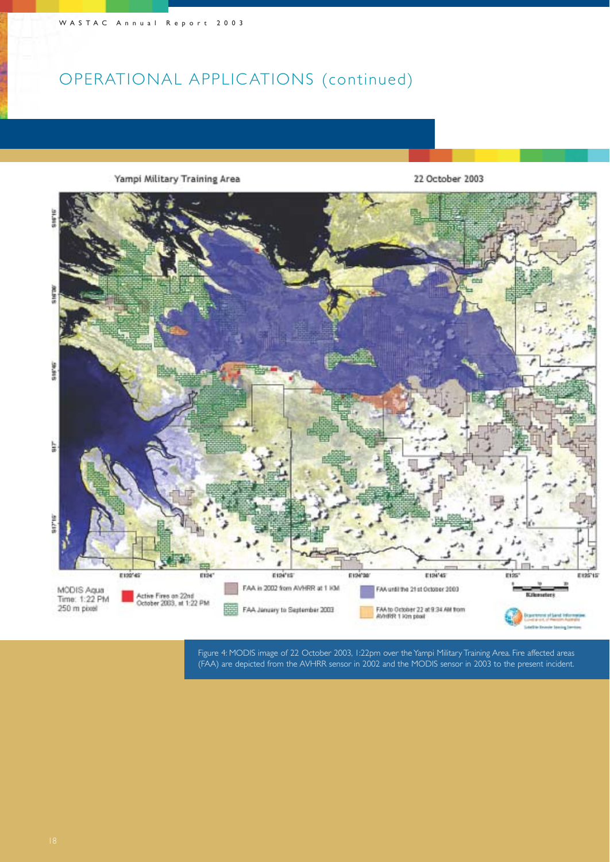## OPERATIONAL APPLIC ATIONS (continued)



Figure 4: MODIS image of 22 October 2003, 1:22pm over the Yampi Military Training Area. Fire affected areas (FAA) are depicted from the AVHRR sensor in 2002 and the MODIS sensor in 2003 to the present incident.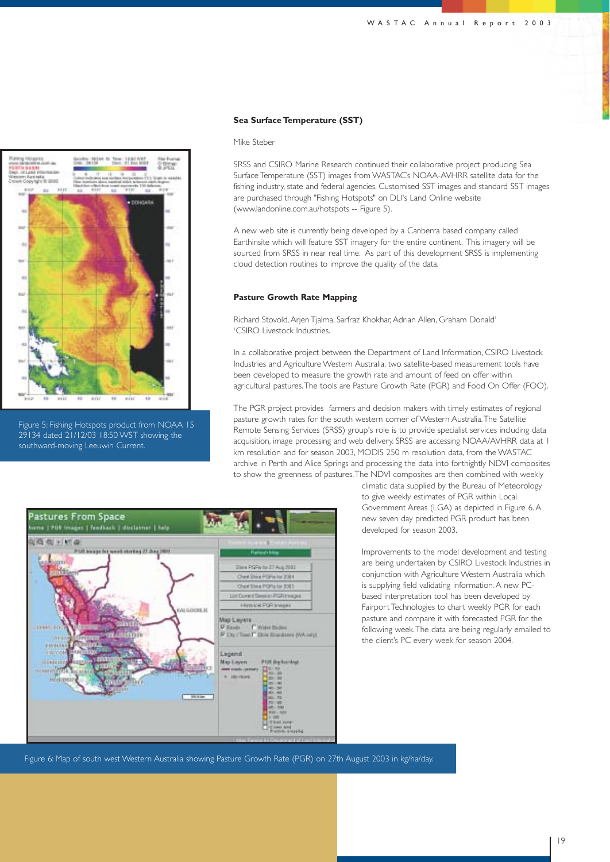

Figure 5: Fishing Hotspots product from NOAA 15 29134 dated 21/12/03 18:50 WST showing the southward-moving Leeuwin Current.

#### **Sea Surface Temperature (SST)**

Mike Steber

SRSS and CSIRO Marine Research continued their collaborative project producing Sea Surface Temperature (SST) images from WASTAC's NOAA-AVHRR satellite data for the fishing industry, state and federal agencies. Customised SST images and standard SST images are purchased through "Fishing Hotspots" on DLI's Land Online website (www.landonline.com.au/hotspots -- Figure 5).

A new web site is currently being developed by a Canberra based company called Earthinsite which will feature SST imagery for the entire continent. This imagery will be sourced from SRSS in near real time. As part of this development SRSS is implementing cloud detection routines to improve the quality of the data.

#### **Pasture Growth Rate Mapping**

Richard Stovold, Arjen Tjalma, Sarfraz Khokhar, Adrian Allen, Graham Donald<sup>1</sup> 1 CSIRO Livestock Industries.

In a collaborative project between the Department of Land Information, CSIRO Livestock Industries and Agriculture Western Australia, two satellite-based measurement tools have been developed to measure the growth rate and amount of feed on offer within agricultural pastures.The tools are Pasture Growth Rate (PGR) and Food On Offer (FOO).

The PGR project provides farmers and decision makers with timely estimates of regional pasture growth rates for the south western corner of Western Australia.The Satellite Remote Sensing Services (SRSS) group's role is to provide specialist services including data acquisition, image processing and web delivery. SRSS are accessing NOAA/AVHRR data at 1 km resolution and for season 2003, MODIS 250 m resolution data, from the WASTAC archive in Perth and Alice Springs and processing the data into fortnightly NDVI composites to show the greenness of pastures.The NDVI composites are then combined with weekly



climatic data supplied by the Bureau of Meteorology to give weekly estimates of PGR within Local Government Areas (LGA) as depicted in Figure 6. A new seven day predicted PGR product has been developed for season 2003.

Improvements to the model development and testing are being undertaken by CSIRO Livestock Industries in conjunction with Agriculture Western Australia which is supplying field validating information. A new PCbased interpretation tool has been developed by Fairport Technologies to chart weekly PGR for each pasture and compare it with forecasted PGR for the following week.The data are being regularly emailed to the client's PC every week for season 2004.

Figure 6: Map of south west Western Australia showing Pasture Growth Rate (PGR) on 27th August 2003 in kg/ha/day.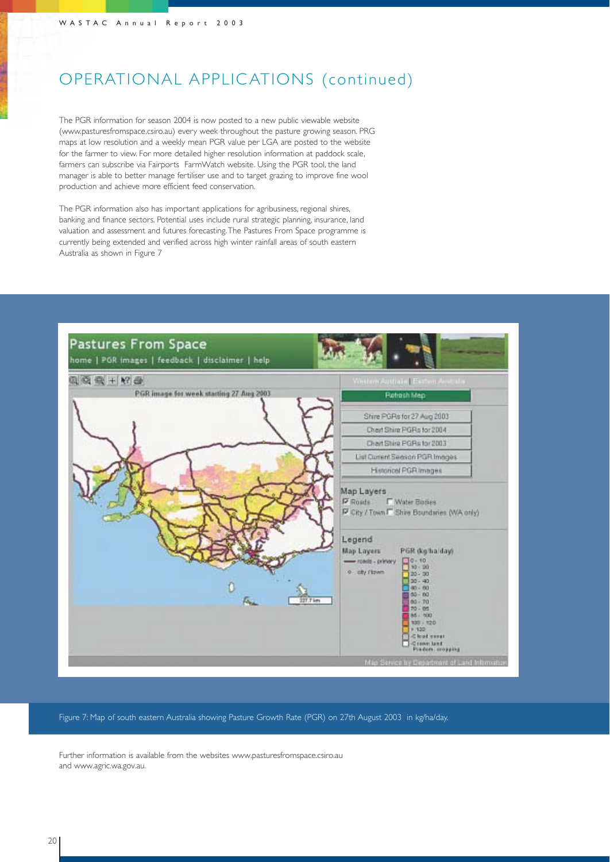## OPERATIONAL APPLIC ATIONS (continued)

The PGR information for season 2004 is now posted to a new public viewable website (www.pasturesfromspace.csiro.au) every week throughout the pasture growing season. PRG maps at low resolution and a weekly mean PGR value per LGA are posted to the website for the farmer to view. For more detailed higher resolution information at paddock scale, farmers can subscribe via Fairports FarmWatch website. Using the PGR tool, the land manager is able to better manage fertiliser use and to target grazing to improve fine wool production and achieve more efficient feed conservation.

The PGR information also has important applications for agribusiness, regional shires, banking and finance sectors. Potential uses include rural strategic planning, insurance, land valuation and assessment and futures forecasting.The Pastures From Space programme is currently being extended and verified across high winter rainfall areas of south eastern Australia as shown in Figure 7



Figure 7: Map of south eastern Australia showing Pasture Growth Rate (PGR) on 27th August 2003 in kg/ha/day.

Further information is available from the websites www.pasturesfromspace.csiro.au and www.agric.wa.gov.au.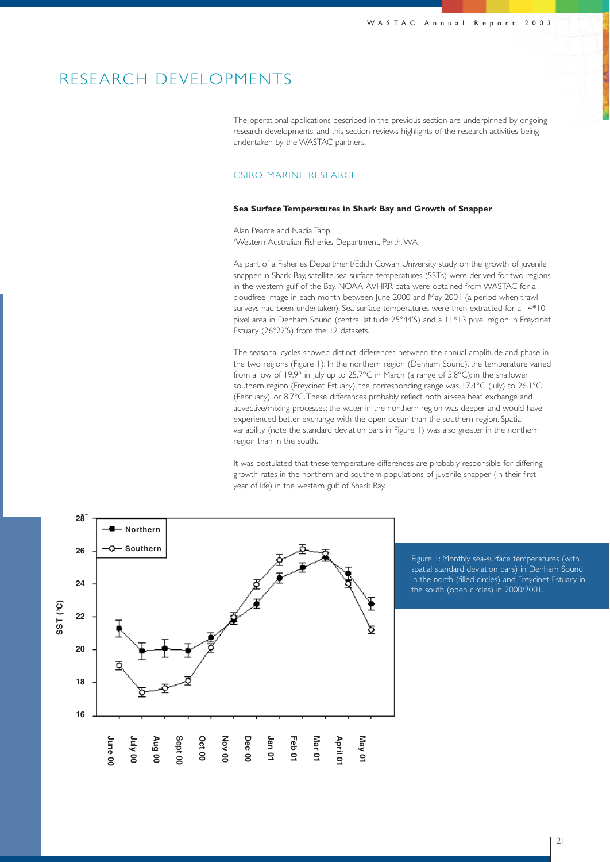### RESEARCH DEVELOPMENTS

The operational applications described in the previous section are underpinned by ongoing research developments, and this section reviews highlights of the research activities being undertaken by the WASTAC partners.

### CSIRO MARINE RESEARCH

#### **Sea Surface Temperatures in Shark Bay and Growth of Snapper**

Alan Pearce and Nadia Tapp<sup>1</sup> 1 Western Australian Fisheries Department, Perth,WA

As part of a Fisheries Department/Edith Cowan University study on the growth of juvenile snapper in Shark Bay, satellite sea-surface temperatures (SSTs) were derived for two regions in the western gulf of the Bay. NOAA-AVHRR data were obtained from WASTAC for a cloudfree image in each month between June 2000 and May 2001 (a period when trawl surveys had been undertaken). Sea surface temperatures were then extracted for a 14\*10 pixel area in Denham Sound (central latitude 25°44'S) and a 11\*13 pixel region in Freycinet Estuary (26°22'S) from the 12 datasets.

The seasonal cycles showed distinct differences between the annual amplitude and phase in the two regions (Figure 1). In the northern region (Denham Sound), the temperature varied from a low of 19.9° in July up to 25.7°C in March (a range of 5.8°C); in the shallower southern region (Freycinet Estuary), the corresponding range was 17.4°C (July) to 26.1°C (February), or 8.7°C.These differences probably reflect both air-sea heat exchange and advective/mixing processes; the water in the northern region was deeper and would have experienced better exchange with the open ocean than the southern region. Spatial variability (note the standard deviation bars in Figure 1) was also greater in the northern region than in the south.

It was postulated that these temperature differences are probably responsible for differing growth rates in the northern and southern populations of juvenile snapper (in their first year of life) in the western gulf of Shark Bay.



Figure 1: Monthly sea-surface temperatures (with spatial standard deviation bars) in Denham Sound in the north (filled circles) and Freycinet Estuary in the south (open circles) in 2000/2001.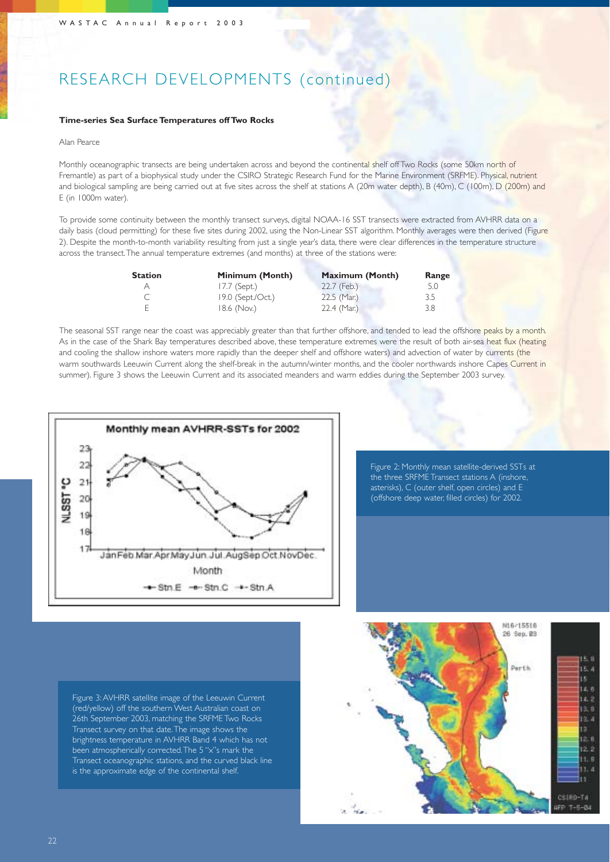## RESEARCH DEVELOPMENTS (continued)

#### **Time-series Sea Surface Temperatures off Two Rocks**

#### Alan Pearce

Monthly oceanographic transects are being undertaken across and beyond the continental shelf off Two Rocks (some 50km north of Fremantle) as part of a biophysical study under the CSIRO Strategic Research Fund for the Marine Environment (SRFME). Physical, nutrient and biological sampling are being carried out at five sites across the shelf at stations A (20m water depth), B (40m), C (100m), D (200m) and E (in 1000m water).

To provide some continuity between the monthly transect surveys, digital NOAA-16 SST transects were extracted from AVHRR data on a daily basis (cloud permitting) for these five sites during 2002, using the Non-Linear SST algorithm. Monthly averages were then derived (Figure 2). Despite the month-to-month variability resulting from just a single year's data, there were clear differences in the temperature structure across the transect.The annual temperature extremes (and months) at three of the stations were:

| <b>Station</b> | Minimum (Month)   | <b>Maximum (Month)</b> | Range |
|----------------|-------------------|------------------------|-------|
|                | $17.7$ (Sept.)    | 22.7 (Feb.)            | 5.0   |
|                | 19.0 (Sept./Oct.) | $22.5$ (Mar.)          | 3.5   |
|                | 18.6 (Nov.)       | $22.4$ (Mar.)          | 3.8   |

The seasonal SST range near the coast was appreciably greater than that further offshore, and tended to lead the offshore peaks by a month. As in the case of the Shark Bay temperatures described above, these temperature extremes were the result of both air-sea heat flux (heating and cooling the shallow inshore waters more rapidly than the deeper shelf and offshore waters) and advection of water by currents (the warm southwards Leeuwin Current along the shelf-break in the autumn/winter months, and the cooler northwards inshore Capes Current in summer). Figure 3 shows the Leeuwin Current and its associated meanders and warm eddies during the September 2003 survey.



Figure 2: Monthly mean satellite-derived SSTs at the three SRFME Transect stations A (inshore, asterisks), C (outer shelf, open circles) and E (offshore deep water, filled circles) for 2002.

Figure 3: AVHRR satellite image of the Leeuwin Current (red/yellow) off the southern West Australian coast on 26th September 2003, matching the SRFME Two Rocks Transect survey on that date.The image shows the brightness temperature in AVHRR Band 4 which has not been atmospherically corrected.The 5 "x"s mark the Transect oceanographic stations, and the curved black line is the approximate edge of the continental shelf.

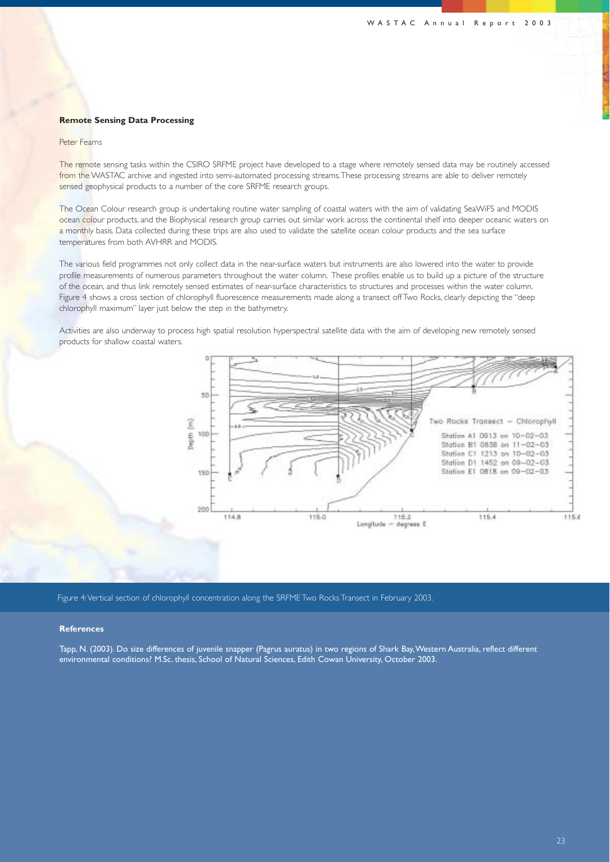#### **Remote Sensing Data Processing**

#### Peter Fearns

The remote sensing tasks within the CSIRO SRFME project have developed to a stage where remotely sensed data may be routinely accessed from the WASTAC archive and ingested into semi-automated processing streams. These processing streams are able to deliver remotely sensed geophysical products to a number of the core SRFME research groups.

The Ocean Colour research group is undertaking routine water sampling of coastal waters with the aim of validating SeaWiFS and MODIS ocean colour products, and the Biophysical research group carries out similar work across the continental shelf into deeper oceanic waters on a monthly basis. Data collected during these trips are also used to validate the satellite ocean colour products and the sea surface temperatures from both AVHRR and MODIS.

The various field programmes not only collect data in the near-surface waters but instruments are also lowered into the water to provide profile measurements of numerous parameters throughout the water column. These profiles enable us to build up a picture of the structure of the ocean, and thus link remotely sensed estimates of near-surface characteristics to structures and processes within the water column. Figure 4 shows a cross section of chlorophyll fluorescence measurements made along a transect off Two Rocks, clearly depicting the "deep chlorophyll maximum" layer just below the step in the bathymetry.

Activities are also underway to process high spatial resolution hyperspectral satellite data with the aim of developing new remotely sensed products for shallow coastal waters.



Figure 4:Vertical section of chlorophyll concentration along the SRFME Two Rocks Transect in February 2003.

#### **References**

Tapp, N. (2003). Do size differences of juvenile snapper (Pagrus auratus) in two regions of Shark Bay,Western Australia, reflect different environmental conditions? M.Sc. thesis, School of Natural Sciences, Edith Cowan University, October 2003.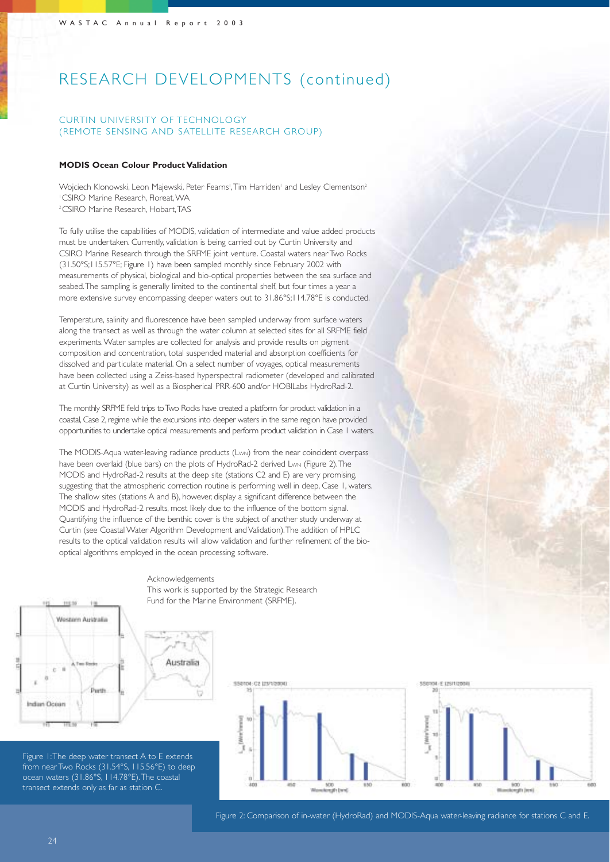## RESEARCH DEVELOPMENTS (continued)

### CURTIN UNIVERSITY OF TECHNOLOGY (REMOTE SENSING AND SATELLITE RESEARCH GROUP)

#### **MODIS Ocean Colour Product Validation**

Wojciech Klonowski, Leon Majewski, Peter Fearns',Tim Harriden' and Lesley Clementson<del>?</del> 1 CSIRO Marine Research, Floreat,WA 2CSIRO Marine Research, Hobart,TAS

To fully utilise the capabilities of MODIS, validation of intermediate and value added products must be undertaken. Currently, validation is being carried out by Curtin University and CSIRO Marine Research through the SRFME joint venture. Coastal waters near Two Rocks (31.50°S;115.57°E; Figure 1) have been sampled monthly since February 2002 with measurements of physical, biological and bio-optical properties between the sea surface and seabed.The sampling is generally limited to the continental shelf, but four times a year a more extensive survey encompassing deeper waters out to 31.86°S;114.78°E is conducted.

Temperature, salinity and fluorescence have been sampled underway from surface waters along the transect as well as through the water column at selected sites for all SRFME field experiments.Water samples are collected for analysis and provide results on pigment composition and concentration, total suspended material and absorption coefficients for dissolved and particulate material. On a select number of voyages, optical measurements have been collected using a Zeiss-based hyperspectral radiometer (developed and calibrated at Curtin University) as well as a Biospherical PRR-600 and/or HOBILabs HydroRad-2.

The monthly SRFME field trips to Two Rocks have created a platform for product validation in a coastal, Case 2, regime while the excursions into deeper waters in the same region have provided opportunities to undertake optical measurements and perform product validation in Case 1 waters.

The MODIS-Aqua water-leaving radiance products (LwN) from the near coincident overpass have been overlaid (blue bars) on the plots of HydroRad-2 derived Lwn (Figure 2). The MODIS and HydroRad-2 results at the deep site (stations C2 and E) are very promising, suggesting that the atmospheric correction routine is performing well in deep, Case 1, waters. The shallow sites (stations A and B), however, display a significant difference between the MODIS and HydroRad-2 results, most likely due to the influence of the bottom signal. Quantifying the influence of the benthic cover is the subject of another study underway at Curtin (see Coastal Water Algorithm Development and Validation).The addition of HPLC results to the optical validation results will allow validation and further refinement of the biooptical algorithms employed in the ocean processing software.



Acknowledgements

Australia

This work is supported by the Strategic Research Fund for the Marine Environment (SRFME).

Figure 1:The deep water transect A to E extends from near Two Rocks (31.54°S, 115.56°E) to deep ocean waters (31.86°S, 114.78°E).The coastal transect extends only as far as station C.





Figure 2: Comparison of in-water (HydroRad) and MODIS-Aqua water-leaving radiance for stations C and E.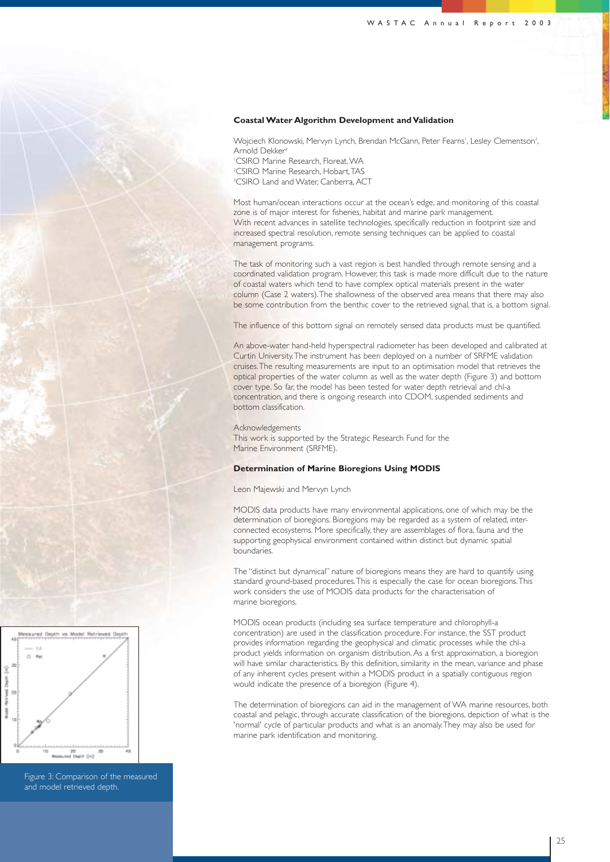#### **Coastal Water Algorithm Development and Validation**

Wojciech Klonowski, Mervyn Lynch, Brendan McGann, Peter Fearns', Lesley Clementson<sup>2</sup> , Arnold Dekker3

1 CSIRO Marine Research, Floreat,WA 2 CSIRO Marine Research, Hobart,TAS 3 CSIRO Land and Water, Canberra, ACT

Most human/ocean interactions occur at the ocean's edge, and monitoring of this coastal zone is of major interest for fisheries, habitat and marine park management. With recent advances in satellite technologies, specifically reduction in footprint size and increased spectral resolution, remote sensing techniques can be applied to coastal management programs.

The task of monitoring such a vast region is best handled through remote sensing and a coordinated validation program. However, this task is made more difficult due to the nature of coastal waters which tend to have complex optical materials present in the water column (Case 2 waters).The shallowness of the observed area means that there may also be some contribution from the benthic cover to the retrieved signal, that is, a bottom signal.

The influence of this bottom signal on remotely sensed data products must be quantified.

An above-water hand-held hyperspectral radiometer has been developed and calibrated at Curtin University.The instrument has been deployed on a number of SRFME validation cruises.The resulting measurements are input to an optimisation model that retrieves the optical properties of the water column as well as the water depth (Figure 3) and bottom cover type. So far, the model has been tested for water depth retrieval and chl-a concentration, and there is ongoing research into CDOM, suspended sediments and bottom classification.

#### Acknowledgements

This work is supported by the Strategic Research Fund for the Marine Environment (SRFME).

#### **Determination of Marine Bioregions Using MODIS**

Leon Majewski and Mervyn Lynch

MODIS data products have many environmental applications, one of which may be the determination of bioregions. Bioregions may be regarded as a system of related, interconnected ecosystems. More specifically, they are assemblages of flora, fauna and the supporting geophysical environment contained within distinct but dynamic spatial boundaries.

The "distinct but dynamical" nature of bioregions means they are hard to quantify using standard ground-based procedures.This is especially the case for ocean bioregions.This work considers the use of MODIS data products for the characterisation of marine bioregions.

MODIS ocean products (including sea surface temperature and chlorophyll-a concentration) are used in the classification procedure. For instance, the SST product provides information regarding the geophysical and climatic processes while the chl-a product yields information on organism distribution. As a first approximation, a bioregion will have similar characteristics. By this definition, similarity in the mean, variance and phase of any inherent cycles present within a MODIS product in a spatially contiguous region would indicate the presence of a bioregion (Figure 4).

The determination of bioregions can aid in the management of WA marine resources, both coastal and pelagic, through accurate classification of the bioregions, depiction of what is the 'normal' cycle of particular products and what is an anomaly.They may also be used for marine park identification and monitoring.



Figure 3: Comparison of the measured and model retrieved depth.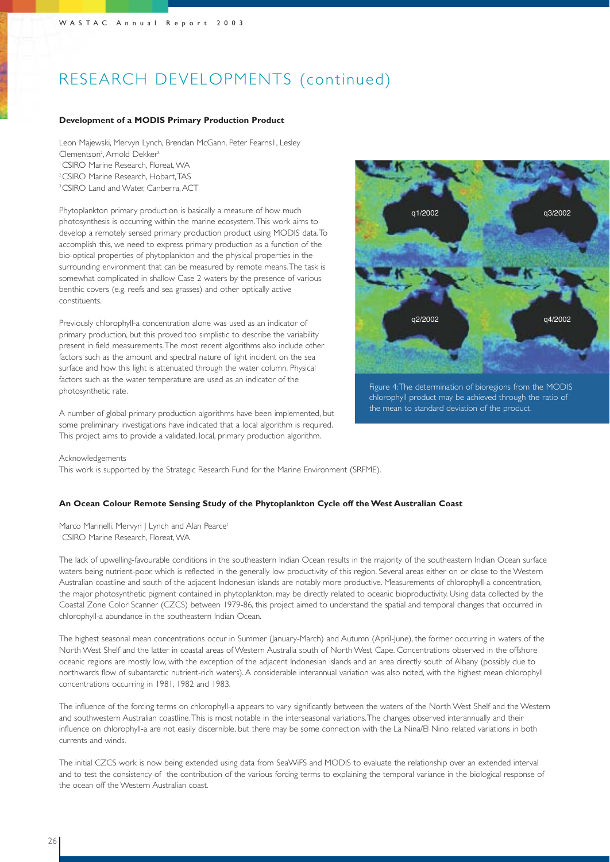## RESEARCH DEVELOPMENTS (continued)

#### **Development of a MODIS Primary Production Product**

Leon Majewski, Mervyn Lynch, Brendan McGann, Peter Fearns1, Lesley Clementson<sup>2</sup>, Arnold Dekker<sup>3</sup> 1CSIRO Marine Research, Floreat,WA 2CSIRO Marine Research, Hobart,TAS

<sup>3</sup>CSIRO Land and Water, Canberra, ACT

Phytoplankton primary production is basically a measure of how much photosynthesis is occurring within the marine ecosystem.This work aims to develop a remotely sensed primary production product using MODIS data.To accomplish this, we need to express primary production as a function of the bio-optical properties of phytoplankton and the physical properties in the surrounding environment that can be measured by remote means.The task is somewhat complicated in shallow Case 2 waters by the presence of various benthic covers (e.g. reefs and sea grasses) and other optically active constituents.

Previously chlorophyll-a concentration alone was used as an indicator of primary production, but this proved too simplistic to describe the variability present in field measurements.The most recent algorithms also include other factors such as the amount and spectral nature of light incident on the sea surface and how this light is attenuated through the water column. Physical factors such as the water temperature are used as an indicator of the photosynthetic rate.

A number of global primary production algorithms have been implemented, but some preliminary investigations have indicated that a local algorithm is required. This project aims to provide a validated, local, primary production algorithm.



Figure 4:The determination of bioregions from the MODIS chlorophyll product may be achieved through the ratio of the mean to standard deviation of the product.

#### Acknowledgements

This work is supported by the Strategic Research Fund for the Marine Environment (SRFME).

#### **An Ocean Colour Remote Sensing Study of the Phytoplankton Cycle off the West Australian Coast**

Marco Marinelli, Mervyn | Lynch and Alan Pearce<sup>1</sup> 1CSIRO Marine Research, Floreat,WA

The lack of upwelling-favourable conditions in the southeastern Indian Ocean results in the majority of the southeastern Indian Ocean surface waters being nutrient-poor, which is reflected in the generally low productivity of this region. Several areas either on or close to the Western Australian coastline and south of the adjacent Indonesian islands are notably more productive. Measurements of chlorophyll-a concentration, the major photosynthetic pigment contained in phytoplankton, may be directly related to oceanic bioproductivity. Using data collected by the Coastal Zone Color Scanner (CZCS) between 1979-86, this project aimed to understand the spatial and temporal changes that occurred in chlorophyll-a abundance in the southeastern Indian Ocean.

The highest seasonal mean concentrations occur in Summer (January-March) and Autumn (April-June), the former occurring in waters of the North West Shelf and the latter in coastal areas of Western Australia south of North West Cape. Concentrations observed in the offshore oceanic regions are mostly low, with the exception of the adjacent Indonesian islands and an area directly south of Albany (possibly due to northwards flow of subantarctic nutrient-rich waters). A considerable interannual variation was also noted, with the highest mean chlorophyll concentrations occurring in 1981, 1982 and 1983.

The influence of the forcing terms on chlorophyll-a appears to vary significantly between the waters of the North West Shelf and the Western and southwestern Australian coastline.This is most notable in the interseasonal variations.The changes observed interannually and their influence on chlorophyll-a are not easily discernible, but there may be some connection with the La Nina/El Nino related variations in both currents and winds.

The initial CZCS work is now being extended using data from SeaWiFS and MODIS to evaluate the relationship over an extended interval and to test the consistency of the contribution of the various forcing terms to explaining the temporal variance in the biological response of the ocean off the Western Australian coast.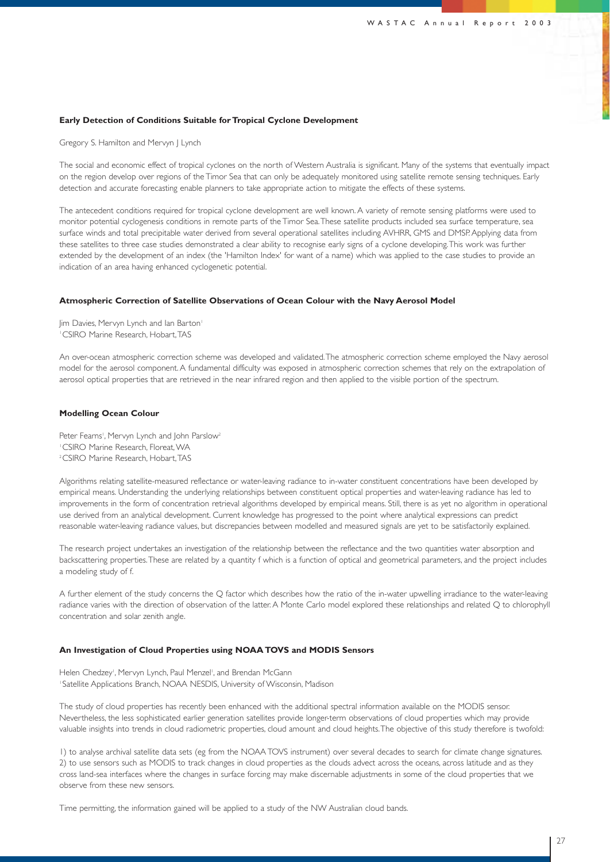#### **Early Detection of Conditions Suitable for Tropical Cyclone Development**

Gregory S. Hamilton and Mervyn J Lynch

The social and economic effect of tropical cyclones on the north of Western Australia is significant. Many of the systems that eventually impact on the region develop over regions of the Timor Sea that can only be adequately monitored using satellite remote sensing techniques. Early detection and accurate forecasting enable planners to take appropriate action to mitigate the effects of these systems.

The antecedent conditions required for tropical cyclone development are well known. A variety of remote sensing platforms were used to monitor potential cyclogenesis conditions in remote parts of the Timor Sea.These satellite products included sea surface temperature, sea surface winds and total precipitable water derived from several operational satellites including AVHRR, GMS and DMSP. Applying data from these satellites to three case studies demonstrated a clear ability to recognise early signs of a cyclone developing.This work was further extended by the development of an index (the 'Hamilton Index' for want of a name) which was applied to the case studies to provide an indication of an area having enhanced cyclogenetic potential.

#### **Atmospheric Correction of Satellite Observations of Ocean Colour with the Navy Aerosol Model**

Jim Davies, Mervyn Lynch and Ian Barton<sup>1</sup> 1CSIRO Marine Research, Hobart,TAS

An over-ocean atmospheric correction scheme was developed and validated.The atmospheric correction scheme employed the Navy aerosol model for the aerosol component. A fundamental difficulty was exposed in atmospheric correction schemes that rely on the extrapolation of aerosol optical properties that are retrieved in the near infrared region and then applied to the visible portion of the spectrum.

#### **Modelling Ocean Colour**

Peter Fearns', Mervyn Lynch and John Parslow<sup>2</sup> 1CSIRO Marine Research, Floreat,WA 2CSIRO Marine Research, Hobart,TAS

Algorithms relating satellite-measured reflectance or water-leaving radiance to in-water constituent concentrations have been developed by empirical means. Understanding the underlying relationships between constituent optical properties and water-leaving radiance has led to improvements in the form of concentration retrieval algorithms developed by empirical means. Still, there is as yet no algorithm in operational use derived from an analytical development. Current knowledge has progressed to the point where analytical expressions can predict reasonable water-leaving radiance values, but discrepancies between modelled and measured signals are yet to be satisfactorily explained.

The research project undertakes an investigation of the relationship between the reflectance and the two quantities water absorption and backscattering properties.These are related by a quantity f which is a function of optical and geometrical parameters, and the project includes a modeling study of f.

A further element of the study concerns the Q factor which describes how the ratio of the in-water upwelling irradiance to the water-leaving radiance varies with the direction of observation of the latter. A Monte Carlo model explored these relationships and related Q to chlorophyll concentration and solar zenith angle.

#### **An Investigation of Cloud Properties using NOAA TOVS and MODIS Sensors**

Helen Chedzey', Mervyn Lynch, Paul Menzel', and Brendan McGann <sup>1</sup> Satellite Applications Branch, NOAA NESDIS, University of Wisconsin, Madison

The study of cloud properties has recently been enhanced with the additional spectral information available on the MODIS sensor. Nevertheless, the less sophisticated earlier generation satellites provide longer-term observations of cloud properties which may provide valuable insights into trends in cloud radiometric properties, cloud amount and cloud heights.The objective of this study therefore is twofold:

1) to analyse archival satellite data sets (eg from the NOAA TOVS instrument) over several decades to search for climate change signatures. 2) to use sensors such as MODIS to track changes in cloud properties as the clouds advect across the oceans, across latitude and as they cross land-sea interfaces where the changes in surface forcing may make discernable adjustments in some of the cloud properties that we observe from these new sensors.

Time permitting, the information gained will be applied to a study of the NW Australian cloud bands.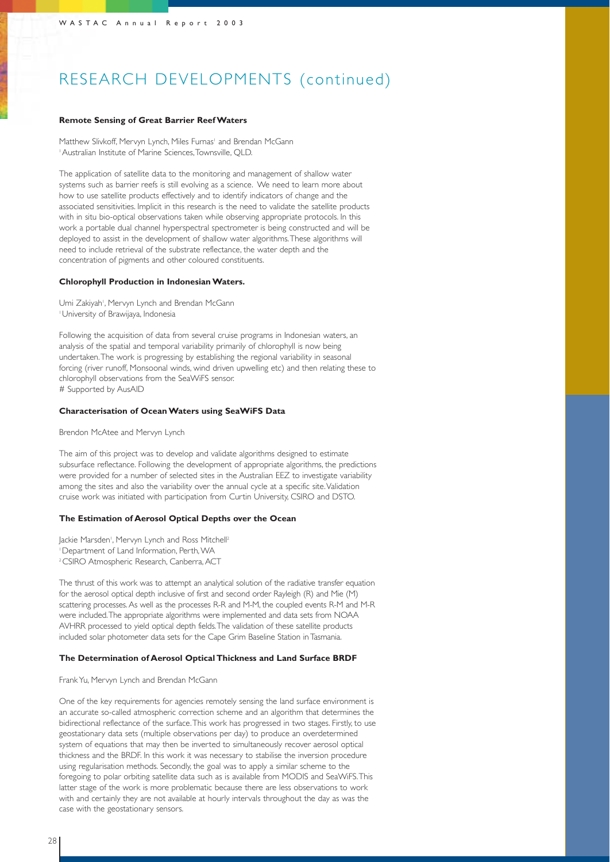## RESEARCH DEVELOPMENTS (continued)

#### **Remote Sensing of Great Barrier Reef Waters**

Matthew Slivkoff, Mervyn Lynch, Miles Furnas<sup>1</sup> and Brendan McGann 1Australian Institute of Marine Sciences,Townsville, QLD.

The application of satellite data to the monitoring and management of shallow water systems such as barrier reefs is still evolving as a science. We need to learn more about how to use satellite products effectively and to identify indicators of change and the associated sensitivities. Implicit in this research is the need to validate the satellite products with in situ bio-optical observations taken while observing appropriate protocols. In this work a portable dual channel hyperspectral spectrometer is being constructed and will be deployed to assist in the development of shallow water algorithms.These algorithms will need to include retrieval of the substrate reflectance, the water depth and the concentration of pigments and other coloured constituents.

#### **Chlorophyll Production in Indonesian Waters.**

Umi Zakiyah<sup>1</sup>, Mervyn Lynch and Brendan McGann 1University of Brawijaya, Indonesia

Following the acquisition of data from several cruise programs in Indonesian waters, an analysis of the spatial and temporal variability primarily of chlorophyll is now being undertaken.The work is progressing by establishing the regional variability in seasonal forcing (river runoff, Monsoonal winds, wind driven upwelling etc) and then relating these to chlorophyll observations from the SeaWiFS sensor. # Supported by AusAID

#### **Characterisation of Ocean Waters using SeaWiFS Data**

#### Brendon McAtee and Mervyn Lynch

The aim of this project was to develop and validate algorithms designed to estimate subsurface reflectance. Following the development of appropriate algorithms, the predictions were provided for a number of selected sites in the Australian EEZ to investigate variability among the sites and also the variability over the annual cycle at a specific site. Validation cruise work was initiated with participation from Curtin University, CSIRO and DSTO.

#### **The Estimation of Aerosol Optical Depths over the Ocean**

Jackie Marsden<sup>i</sup>, Mervyn Lynch and Ross Mitchell<sup>2</sup> 1Department of Land Information, Perth,WA

<sup>2</sup> CSIRO Atmospheric Research, Canberra, ACT

The thrust of this work was to attempt an analytical solution of the radiative transfer equation for the aerosol optical depth inclusive of first and second order Rayleigh (R) and Mie (M) scattering processes. As well as the processes R-R and M-M, the coupled events R-M and M-R were included.The appropriate algorithms were implemented and data sets from NOAA AVHRR processed to yield optical depth fields.The validation of these satellite products included solar photometer data sets for the Cape Grim Baseline Station in Tasmania.

#### **The Determination of Aerosol Optical Thickness and Land Surface BRDF**

#### Frank Yu, Mervyn Lynch and Brendan McGann

One of the key requirements for agencies remotely sensing the land surface environment is an accurate so-called atmospheric correction scheme and an algorithm that determines the bidirectional reflectance of the surface.This work has progressed in two stages. Firstly, to use geostationary data sets (multiple observations per day) to produce an overdetermined system of equations that may then be inverted to simultaneously recover aerosol optical thickness and the BRDF. In this work it was necessary to stabilise the inversion procedure using regularisation methods. Secondly, the goal was to apply a similar scheme to the foregoing to polar orbiting satellite data such as is available from MODIS and SeaWiFS.This latter stage of the work is more problematic because there are less observations to work with and certainly they are not available at hourly intervals throughout the day as was the case with the geostationary sensors.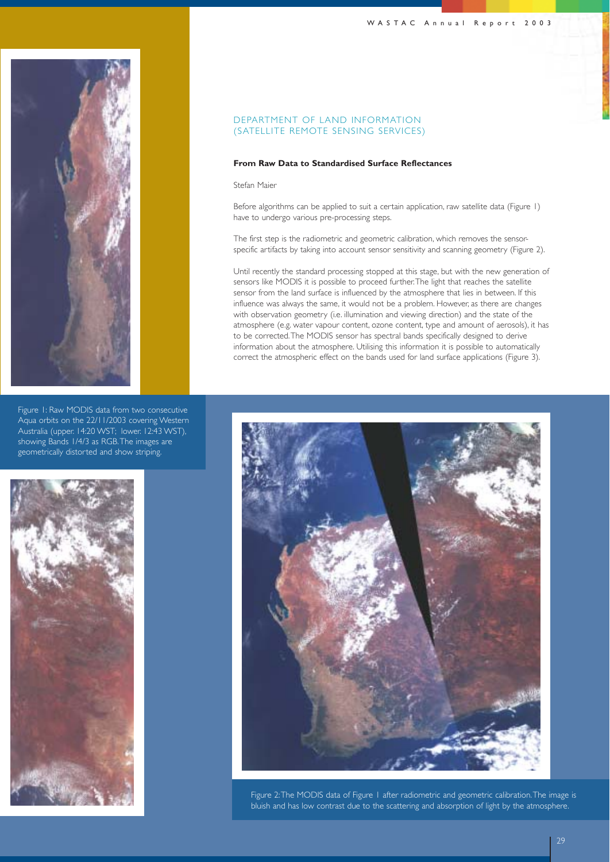



Figure 1: Raw MODIS data from two consecutive Aqua orbits on the 22/11/2003 covering Western Australia (upper. 14:20 WST; lower. 12:43 WST), showing Bands 1/4/3 as RGB.The images are geometrically distorted and show striping.



### DEPARTMENT OF LAND INFORMATION (SATELLITE REMOTE SENSING SERVICES)

#### **From Raw Data to Standardised Surface Reflectances**

#### Stefan Maier

Before algorithms can be applied to suit a certain application, raw satellite data (Figure 1) have to undergo various pre-processing steps.

The first step is the radiometric and geometric calibration, which removes the sensorspecific artifacts by taking into account sensor sensitivity and scanning geometry (Figure 2).

Until recently the standard processing stopped at this stage, but with the new generation of sensors like MODIS it is possible to proceed further.The light that reaches the satellite sensor from the land surface is influenced by the atmosphere that lies in between. If this influence was always the same, it would not be a problem. However, as there are changes with observation geometry (i.e. illumination and viewing direction) and the state of the atmosphere (e.g. water vapour content, ozone content, type and amount of aerosols), it has to be corrected.The MODIS sensor has spectral bands specifically designed to derive information about the atmosphere. Utilising this information it is possible to automatically correct the atmospheric effect on the bands used for land surface applications (Figure 3).



Figure 2:The MODIS data of Figure 1 after radiometric and geometric calibration.The image is bluish and has low contrast due to the scattering and absorption of light by the atmosphere.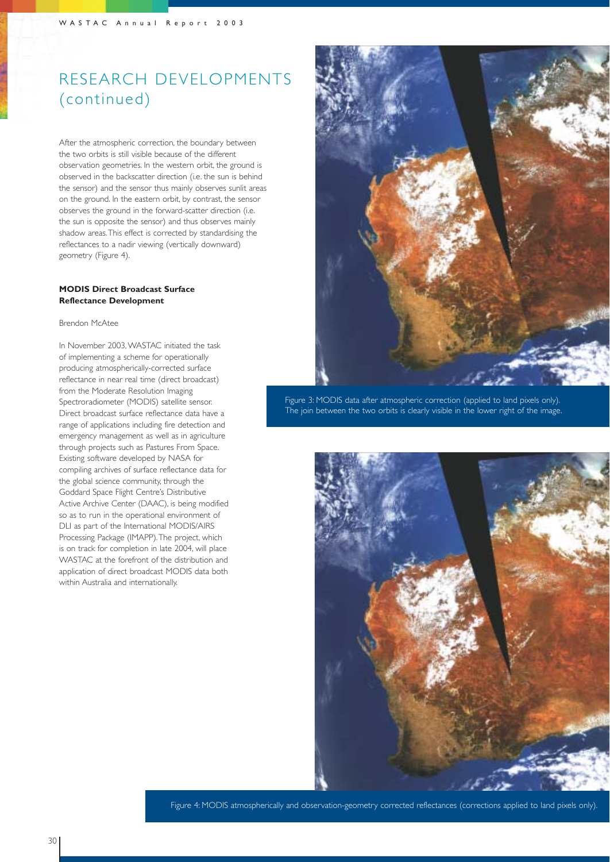## RESEARCH DEVELOPMENTS (continued)

After the atmospheric correction, the boundary between the two orbits is still visible because of the different observation geometries. In the western orbit, the ground is observed in the backscatter direction (i.e. the sun is behind the sensor) and the sensor thus mainly observes sunlit areas on the ground. In the eastern orbit, by contrast, the sensor observes the ground in the forward-scatter direction (i.e. the sun is opposite the sensor) and thus observes mainly shadow areas.This effect is corrected by standardising the reflectances to a nadir viewing (vertically downward) geometry (Figure 4).

### **MODIS Direct Broadcast Surface Reflectance Development**

#### Brendon McAtee

In November 2003,WASTAC initiated the task of implementing a scheme for operationally producing atmospherically-corrected surface reflectance in near real time (direct broadcast) from the Moderate Resolution Imaging Spectroradiometer (MODIS) satellite sensor. Direct broadcast surface reflectance data have a range of applications including fire detection and emergency management as well as in agriculture through projects such as Pastures From Space. Existing software developed by NASA for compiling archives of surface reflectance data for the global science community, through the Goddard Space Flight Centre's Distributive Active Archive Center (DAAC), is being modified so as to run in the operational environment of DLI as part of the International MODIS/AIRS Processing Package (IMAPP).The project, which is on track for completion in late 2004, will place WASTAC at the forefront of the distribution and application of direct broadcast MODIS data both within Australia and internationally.



Figure 3: MODIS data after atmospheric correction (applied to land pixels only). The join between the two orbits is clearly visible in the lower right of the image.



Figure 4: MODIS atmospherically and observation-geometry corrected reflectances (corrections applied to land pixels only).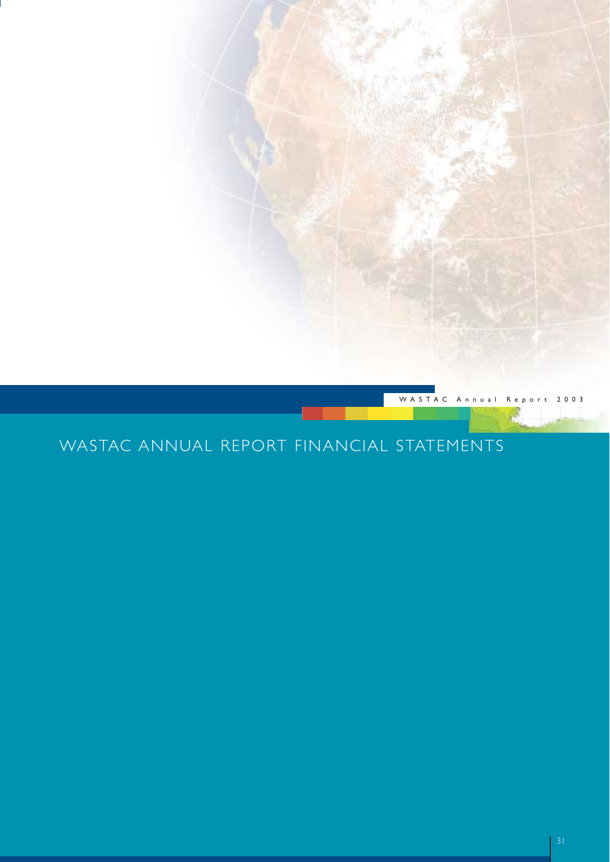

## WASTAC ANNUAL REPORT FINANCIAL STATEMENTS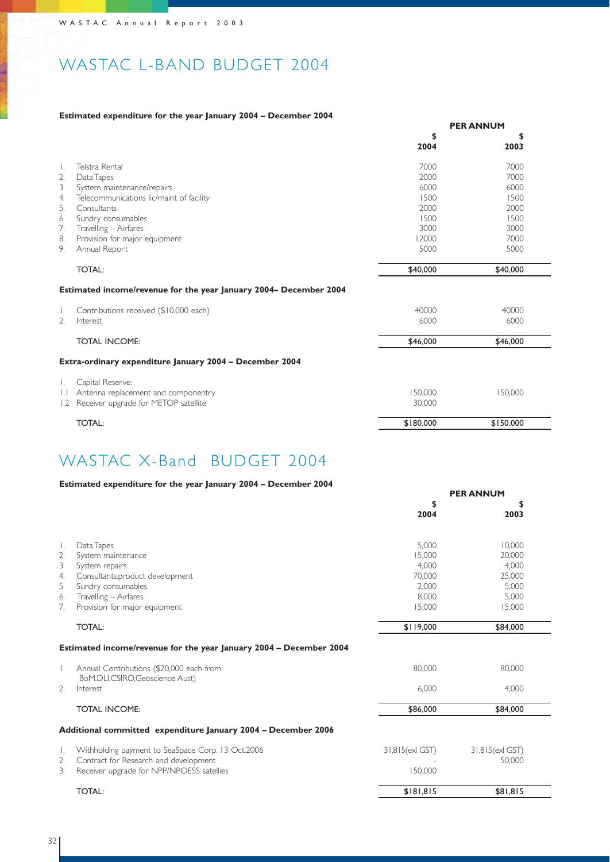## WASTAC L-BAND BUDGET 2004

### **Estimated expenditure for the year January 2004 – December 2004**

|                  |                                                                   | <b>PER ANNUM</b> |            |  |
|------------------|-------------------------------------------------------------------|------------------|------------|--|
|                  |                                                                   | \$<br>2004       | \$<br>2003 |  |
| $\mathbf{L}$     | Telstra Rental                                                    | 7000             | 7000       |  |
| 2.               | Data Tapes                                                        | 2000             | 7000       |  |
| 3.               | System maintenance/repairs                                        | 6000             | 6000       |  |
| 4.               | Telecommunications lic/maint of facility                          | 1500             | 1500       |  |
| .5.              | Consultants                                                       | 2000             | 2000       |  |
| 6.               | Sundry consumables                                                | 1500             | 1500       |  |
| 7.               | Travelling - Airfares                                             | 3000             | 3000       |  |
| 8.               | Provision for major equipment                                     | 12000            | 7000       |  |
| 9.               | Annual Report                                                     | 5000             | 5000       |  |
|                  | <b>TOTAL:</b>                                                     | \$40,000         | \$40,000   |  |
|                  | Estimated income/revenue for the year January 2004- December 2004 |                  |            |  |
| Ι.               | Contributions received (\$10,000 each)                            | 40000            | 40000      |  |
| $\overline{2}$ . | Interest                                                          | 6000             | 6000       |  |
|                  | <b>TOTAL INCOME:</b>                                              | \$46,000         | \$46,000   |  |
|                  | Extra-ordinary expenditure January 2004 - December 2004           |                  |            |  |
|                  | Capital Reserve:                                                  |                  |            |  |
| $\mathsf{L}$     | Antenna replacement and componentry                               | 150,000          | 150,000    |  |
| 1.2              | Receiver upgrade for METOP satellite                              | 30,000           |            |  |
|                  | <b>TOTAL:</b>                                                     | \$180,000        | \$150,000  |  |

## WASTAC X-Band BUDGET 2004

### **Estimated expenditure for the year January 2004 – December 2004**

|                  |                                                                            | <b>PER ANNUM</b> |                 |  |
|------------------|----------------------------------------------------------------------------|------------------|-----------------|--|
|                  |                                                                            | \$               | \$              |  |
|                  |                                                                            | 2004             | 2003            |  |
|                  |                                                                            |                  |                 |  |
| $\perp$          | Data Tapes                                                                 | 5.000            | 10.000          |  |
| 2.               | System maintenance                                                         | 15.000           | 20,000          |  |
| 3.               | System repairs                                                             | 4.000            | 4.000           |  |
| 4.               | Consultants, product development                                           | 70.000           | 25,000          |  |
| 5.               | Sundry consumables                                                         | 2,000            | 5,000           |  |
| 6.               | Travelling - Airfares                                                      | 8,000            | 5,000           |  |
| 7.               | Provision for major equipment                                              | 15,000           | 15,000          |  |
|                  | <b>TOTAL:</b>                                                              | \$119,000        | \$84,000        |  |
|                  | Estimated income/revenue for the year January 2004 - December 2004         |                  |                 |  |
|                  | Annual Contributions (\$20,000 each from<br>BoM.DLI,CSIRO,Geoscience Aust) | 80,000           | 80,000          |  |
| $\mathfrak{D}$ . | Interest                                                                   | 6.000            | 4.000           |  |
|                  | <b>TOTAL INCOME:</b>                                                       | \$86,000         | \$84,000        |  |
|                  | Additional committed expenditure January 2004 - December 2006              |                  |                 |  |
| $\mathbf{L}$     | Withholding payment to SeaSpace Corp. 13 Oct.2006                          | 31,815 (exl GST) | 31,815(exl GST) |  |
| 2.               | Contract for Research and development                                      |                  | 50.000          |  |
| 3.               | Receiver upgrade for NPP/NPOESS satellies                                  | 150,000          |                 |  |
|                  | <b>TOTAL:</b>                                                              | \$181,815        | \$81,815        |  |
|                  |                                                                            |                  |                 |  |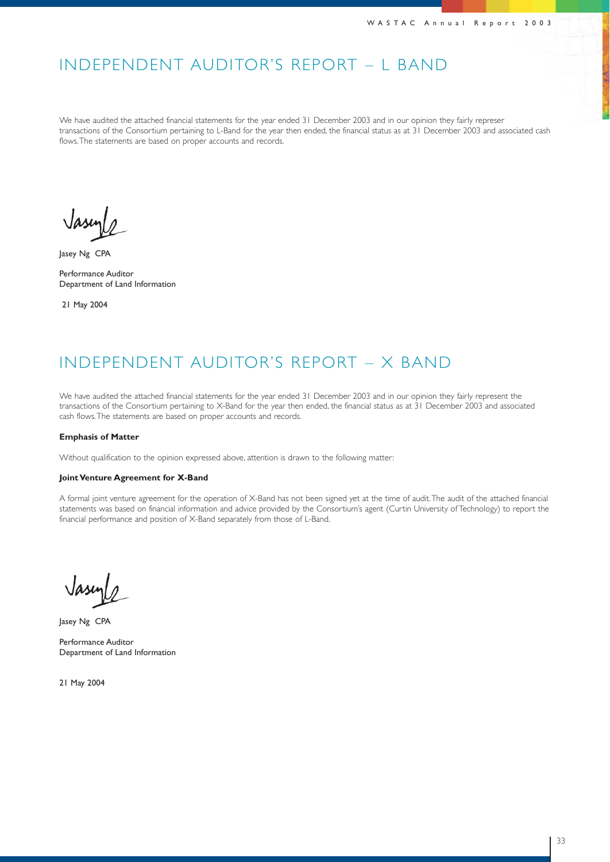## INDEPENDENT AUDITOR'S REPORT – L BAND

We have audited the attached financial statements for the year ended 31 December 2003 and in our opinion they fairly represer transactions of the Consortium pertaining to L-Band for the year then ended, the financial status as at 31 December 2003 and associated cash flows. The statements are based on proper accounts and records.

Jasey Ng CPA

Performance Auditor Department of Land Information

21 May 2004

## INDEPENDENT AUDITOR'S REPORT – X BAND

We have audited the attached financial statements for the year ended 31 December 2003 and in our opinion they fairly represent the transactions of the Consortium pertaining to X-Band for the year then ended, the financial status as at 31 December 2003 and associated cash flows.The statements are based on proper accounts and records.

#### **Emphasis of Matter**

Without qualification to the opinion expressed above, attention is drawn to the following matter:

#### **Joint Venture Agreement for X-Band**

A formal joint venture agreement for the operation of X-Band has not been signed yet at the time of audit.The audit of the attached financial statements was based on financial information and advice provided by the Consortium's agent (Curtin University of Technology) to report the financial performance and position of X-Band separately from those of L-Band.

Jasey Ng CPA

Performance Auditor Department of Land Information

21 May 2004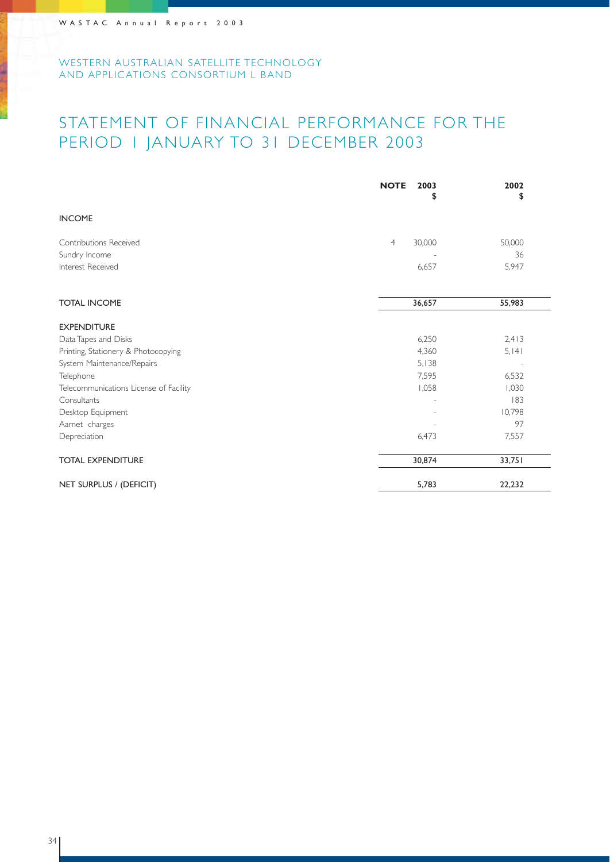## STATEMENT OF FINANCIAL PERFORMANCE FOR THE PERIOD 1 JANUARY TO 31 DECEMBER 2003

|                                        | <b>NOTE</b><br>2003<br>\$ | 2002<br>\$ |
|----------------------------------------|---------------------------|------------|
| <b>INCOME</b>                          |                           |            |
| Contributions Received                 | 30,000<br>$\overline{4}$  | 50,000     |
| Sundry Income                          |                           | 36         |
| Interest Received                      | 6,657                     | 5,947      |
| <b>TOTAL INCOME</b>                    | 36,657                    | 55,983     |
| <b>EXPENDITURE</b>                     |                           |            |
| Data Tapes and Disks                   | 6,250                     | 2,413      |
| Printing, Stationery & Photocopying    | 4,360                     | 5, 141     |
| System Maintenance/Repairs             | 5,138                     |            |
| Telephone                              | 7,595                     | 6,532      |
| Telecommunications License of Facility | 1,058                     | 1,030      |
| Consultants                            |                           | 183        |
| Desktop Equipment                      |                           | 10,798     |
| Aarnet charges                         |                           | 97         |
| Depreciation                           | 6,473                     | 7,557      |
| <b>TOTAL EXPENDITURE</b>               | 30,874                    | 33,751     |
| NET SURPLUS / (DEFICIT)                | 5,783                     | 22,232     |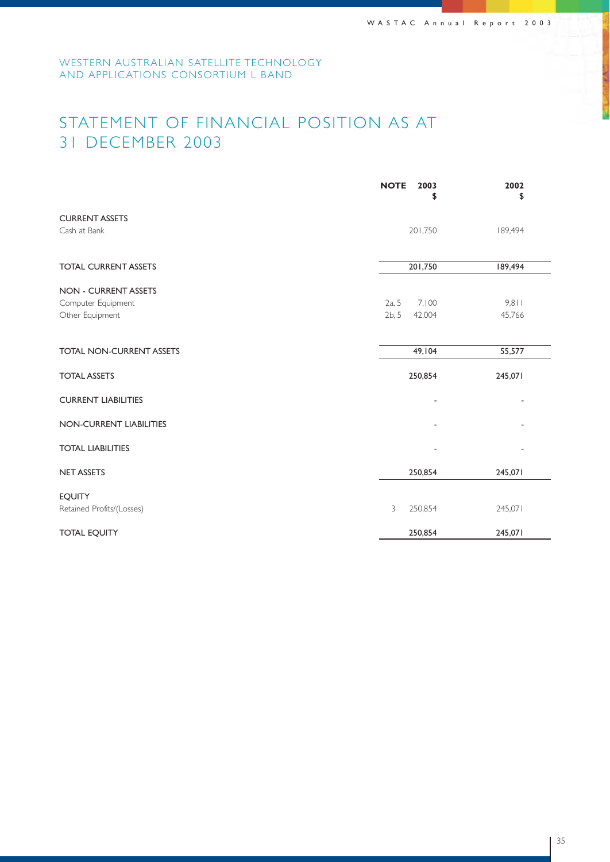## STATEMENT OF FINANCIAL POSITION AS AT 31 DECEMBER 2003

|                                 | <b>NOTE</b><br>2003<br>\$ | 2002<br>\$ |
|---------------------------------|---------------------------|------------|
| <b>CURRENT ASSETS</b>           |                           |            |
| Cash at Bank                    | 201,750                   | 189,494    |
| <b>TOTAL CURRENT ASSETS</b>     | 201,750                   | 189,494    |
| <b>NON - CURRENT ASSETS</b>     |                           |            |
| Computer Equipment              | 2a, 5<br>7,100            | 9,811      |
| Other Equipment                 | 2b, 5<br>42,004           | 45,766     |
| <b>TOTAL NON-CURRENT ASSETS</b> | 49,104                    | 55,577     |
| <b>TOTAL ASSETS</b>             | 250,854                   | 245,071    |
| <b>CURRENT LIABILITIES</b>      |                           |            |
| NON-CURRENT LIABILITIES         |                           |            |
| <b>TOTAL LIABILITIES</b>        |                           |            |
| <b>NET ASSETS</b>               | 250,854                   | 245,071    |
| <b>EQUITY</b>                   |                           |            |
| Retained Profits/(Losses)       | 3<br>250,854              | 245,071    |
| <b>TOTAL EQUITY</b>             | 250,854                   | 245,071    |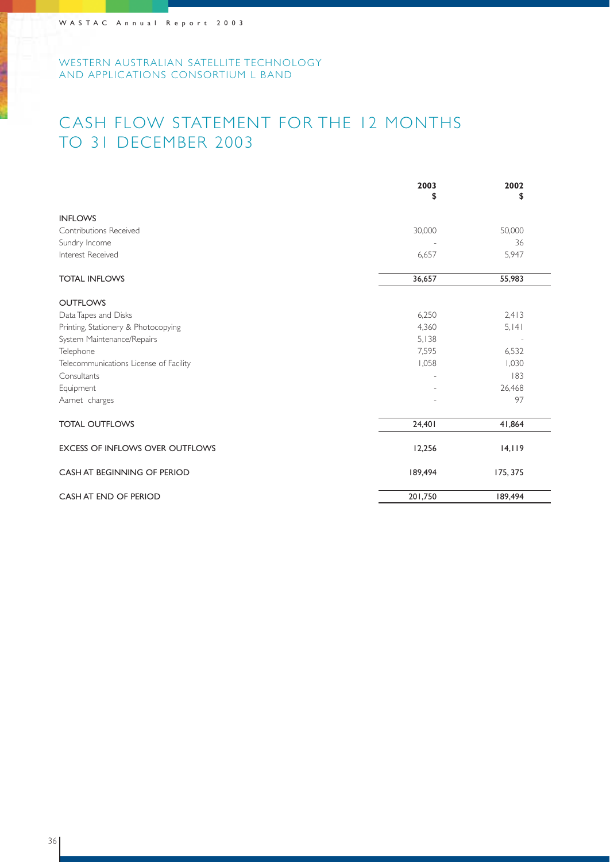## CASH FLOW STATEMENT FOR THE 12 MONTHS TO 31 DECEMBER 2003

|                                        | 2003<br>\$ | 2002<br>\$ |
|----------------------------------------|------------|------------|
| <b>INFLOWS</b>                         |            |            |
| Contributions Received                 | 30,000     | 50,000     |
| Sundry Income                          |            | 36         |
| Interest Received                      | 6,657      | 5,947      |
| <b>TOTAL INFLOWS</b>                   | 36,657     | 55,983     |
| <b>OUTFLOWS</b>                        |            |            |
| Data Tapes and Disks                   | 6,250      | 2,413      |
| Printing, Stationery & Photocopying    | 4,360      | 5, 141     |
| System Maintenance/Repairs             | 5,138      |            |
| Telephone                              | 7,595      | 6,532      |
| Telecommunications License of Facility | 1,058      | 1,030      |
| Consultants                            |            | 183        |
| Equipment                              |            | 26,468     |
| Aarnet charges                         |            | 97         |
| <b>TOTAL OUTFLOWS</b>                  | 24,401     | 41,864     |
| <b>EXCESS OF INFLOWS OVER OUTFLOWS</b> | 12,256     | 14,119     |
| CASH AT BEGINNING OF PERIOD            | 189,494    | 175, 375   |
| CASH AT END OF PERIOD                  | 201,750    | 189,494    |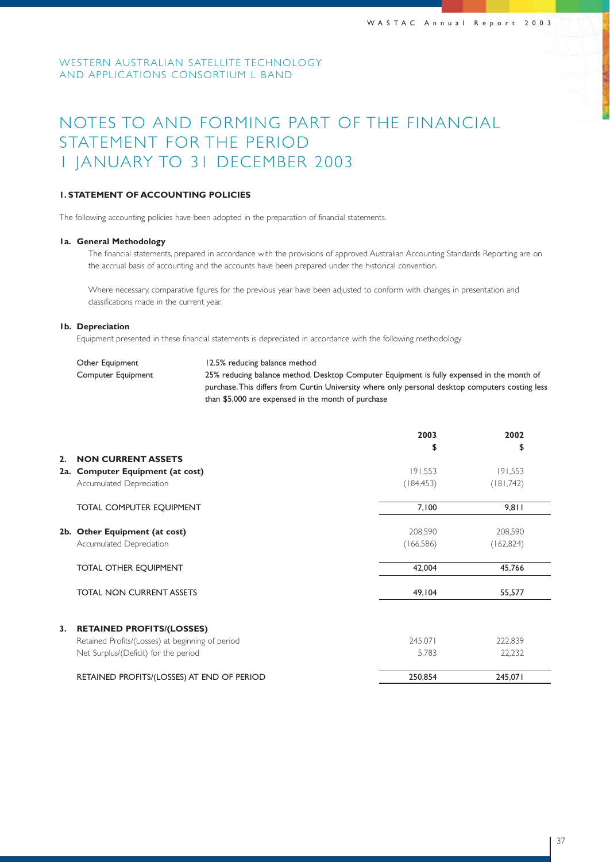## NOTES TO AND FORMING PART OF THE FINANCIAL STATEMENT FOR THE PERIOD 1 JANUARY TO 31 DECEMBER 2003

### **1. STATEMENT OF ACCOUNTING POLICIES**

The following accounting policies have been adopted in the preparation of financial statements.

#### **1a. General Methodology**

The financial statements, prepared in accordance with the provisions of approved Australian Accounting Standards Reporting are on the accrual basis of accounting and the accounts have been prepared under the historical convention.

Where necessary, comparative figures for the previous year have been adjusted to conform with changes in presentation and classifications made in the current year.

#### **1b. Depreciation**

Equipment presented in these financial statements is depreciated in accordance with the following methodology

| Other Equipment    | 12.5% reducing balance method                                                                    |
|--------------------|--------------------------------------------------------------------------------------------------|
| Computer Equipment | 25% reducing balance method. Desktop Computer Equipment is fully expensed in the month of        |
|                    | purchase. This differs from Curtin University where only personal desktop computers costing less |
|                    | than \$5,000 are expensed in the month of purchase                                               |

|    |                                                  | 2003       | 2002       |
|----|--------------------------------------------------|------------|------------|
|    |                                                  | \$         | \$         |
| 2. | <b>NON CURRENT ASSETS</b>                        |            |            |
|    | 2a. Computer Equipment (at cost)                 | 191,553    | 191,553    |
|    | Accumulated Depreciation                         | (184, 453) | (181,742)  |
|    | TOTAL COMPUTER EQUIPMENT                         | 7,100      | 9,811      |
|    | 2b. Other Equipment (at cost)                    | 208,590    | 208,590    |
|    | Accumulated Depreciation                         | (166, 586) | (162, 824) |
|    | <b>TOTAL OTHER EQUIPMENT</b>                     | 42,004     | 45,766     |
|    | <b>TOTAL NON CURRENT ASSETS</b>                  | 49,104     | 55,577     |
| 3. | <b>RETAINED PROFITS/(LOSSES)</b>                 |            |            |
|    | Retained Profits/(Losses) at beginning of period | 245,071    | 222,839    |
|    | Net Surplus/(Deficit) for the period             | 5,783      | 22,232     |
|    | RETAINED PROFITS/(LOSSES) AT END OF PERIOD       | 250,854    | 245,071    |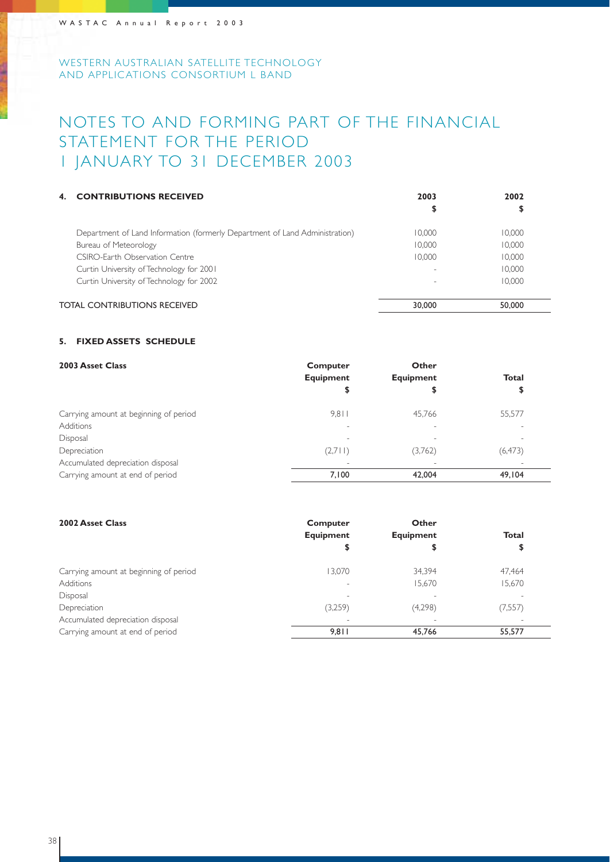## NOTES TO AND FORMING PART OF THE FINANCIAL STATEMENT FOR THE PERIOD 1 JANUARY TO 31 DECEMBER 2003

| 4. | <b>CONTRIBUTIONS RECEIVED</b>                                               | 2003   | 2002   |
|----|-----------------------------------------------------------------------------|--------|--------|
|    |                                                                             | ⊅      | \$     |
|    | Department of Land Information (formerly Department of Land Administration) | 10.000 | 10.000 |
|    | Bureau of Meteorology                                                       | 10.000 | 10.000 |
|    | CSIRO-Farth Observation Centre                                              | 10.000 | 10.000 |
|    | Curtin University of Technology for 2001                                    |        | 10.000 |
|    | Curtin University of Technology for 2002                                    |        | 10.000 |
|    | TOTAL CONTRIBUTIONS RECEIVED                                                | 30,000 | 50,000 |

### **5. FIXED ASSETS SCHEDULE**

| 2003 Asset Class                       | Computer                 | Other                    |                          |
|----------------------------------------|--------------------------|--------------------------|--------------------------|
|                                        | <b>Equipment</b>         | <b>Equipment</b>         | <b>Total</b>             |
|                                        | \$                       |                          | \$                       |
| Carrying amount at beginning of period | 9.811                    | 45.766                   | 55,577                   |
| <b>Additions</b>                       |                          | $\overline{\phantom{a}}$ | $\overline{\phantom{a}}$ |
| Disposal                               |                          | $\overline{\phantom{a}}$ | $\overline{\phantom{a}}$ |
| Depreciation                           | (2,711)                  | (3,762)                  | (6, 473)                 |
| Accumulated depreciation disposal      | $\overline{\phantom{a}}$ | $\overline{\phantom{a}}$ |                          |
| Carrying amount at end of period       | 7.100                    | 42,004                   | 49,104                   |

| 2002 Asset Class                       | Computer<br><b>Equipment</b> | Other<br><b>Equipment</b> | <b>Total</b> |
|----------------------------------------|------------------------------|---------------------------|--------------|
|                                        | \$                           | \$                        | \$           |
| Carrying amount at beginning of period | 13.070                       | 34.394                    | 47.464       |
| Additions                              | $\overline{\phantom{a}}$     | 15,670                    | 15,670       |
| Disposal                               |                              |                           |              |
| Depreciation                           | (3,259)                      | (4,298)                   | (7, 557)     |
| Accumulated depreciation disposal      |                              |                           |              |
| Carrying amount at end of period       | 9.811                        | 45,766                    | 55,577       |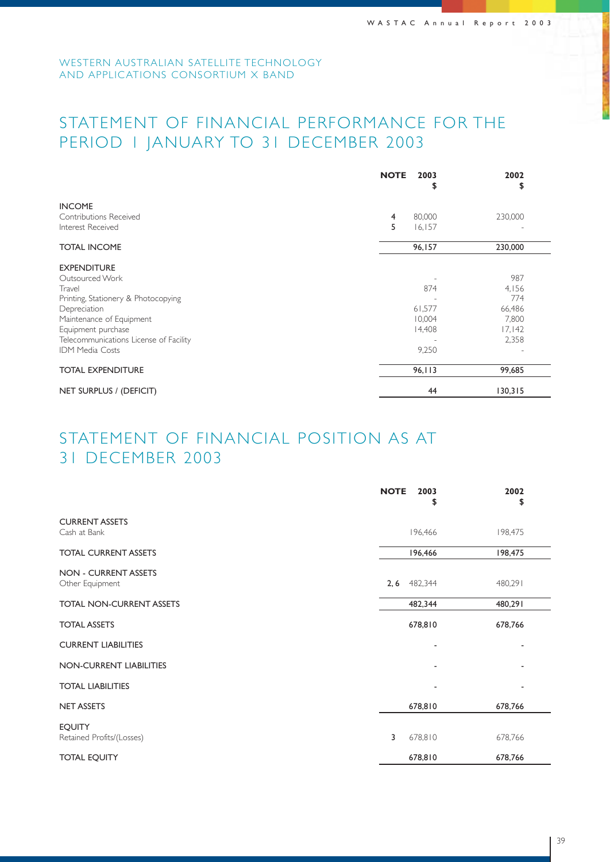## STATEMENT OF FINANCIAL PERFORMANCE FOR THE PERIOD 1 JANUARY TO 31 DECEMBER 2003

|                                             | <b>NOTE</b> | 2003<br>\$       | 2002<br>\$ |
|---------------------------------------------|-------------|------------------|------------|
| <b>INCOME</b>                               |             |                  |            |
| Contributions Received<br>Interest Received | 4<br>5      | 80,000<br>16,157 | 230,000    |
| <b>TOTAL INCOME</b>                         |             | 96,157           | 230,000    |
| <b>EXPENDITURE</b>                          |             |                  |            |
| Outsourced Work                             |             |                  | 987        |
| Travel                                      |             | 874              | 4,156      |
| Printing, Stationery & Photocopying         |             |                  | 774        |
| Depreciation                                |             | 61,577           | 66,486     |
| Maintenance of Equipment                    |             | 10,004           | 7,800      |
| Equipment purchase                          |             | 14,408           | 17,142     |
| Telecommunications License of Facility      |             |                  | 2,358      |
| <b>IDM Media Costs</b>                      |             | 9,250            |            |
| <b>TOTAL EXPENDITURE</b>                    |             | 96,113           | 99,685     |
| NET SURPLUS / (DEFICIT)                     |             | 44               | 130,315    |

## STATEMENT OF FINANCIAL POSITION AS AT 31 DECEMBER 2003

|                                                | <b>NOTE</b><br>2003<br>\$ | 2002<br>\$ |
|------------------------------------------------|---------------------------|------------|
| <b>CURRENT ASSETS</b><br>Cash at Bank          | 196,466                   | 198,475    |
| <b>TOTAL CURRENT ASSETS</b>                    | 196,466                   | 198,475    |
| <b>NON - CURRENT ASSETS</b><br>Other Equipment | 482,344<br>2, 6           | 480,291    |
| <b>TOTAL NON-CURRENT ASSETS</b>                | 482,344                   | 480,291    |
| <b>TOTAL ASSETS</b>                            | 678,810                   | 678,766    |
| <b>CURRENT LIABILITIES</b>                     |                           |            |
| NON-CURRENT LIABILITIES                        |                           |            |
| <b>TOTAL LIABILITIES</b>                       |                           |            |
| <b>NET ASSETS</b>                              | 678,810                   | 678,766    |
| <b>EQUITY</b><br>Retained Profits/(Losses)     | 3<br>678,810              | 678,766    |
| <b>TOTAL EQUITY</b>                            | 678,810                   | 678,766    |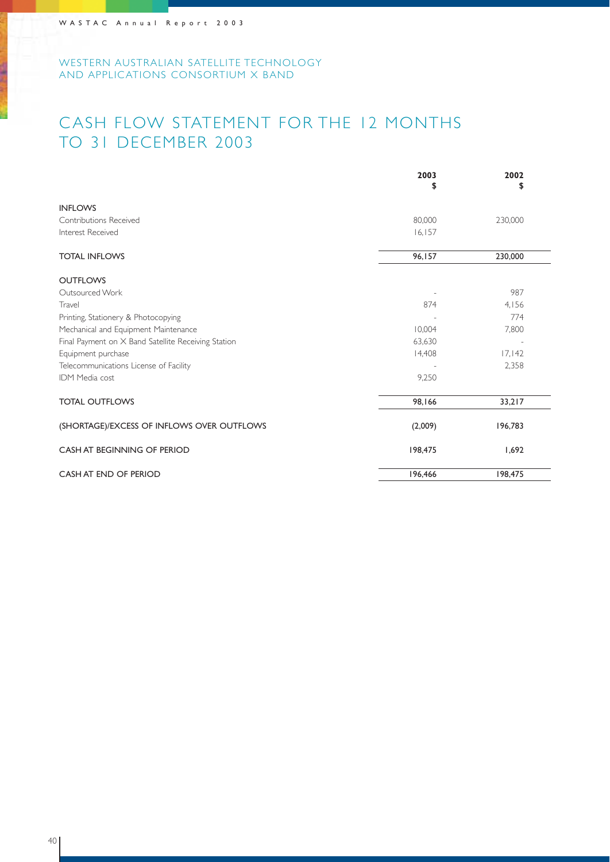## CASH FLOW STATEMENT FOR THE 12 MONTHS TO 31 DECEMBER 2003

|                                                     | 2003<br>\$ | 2002<br>\$ |
|-----------------------------------------------------|------------|------------|
| <b>INFLOWS</b>                                      |            |            |
| <b>Contributions Received</b>                       | 80,000     | 230,000    |
| Interest Received                                   | 16, 157    |            |
| <b>TOTAL INFLOWS</b>                                | 96,157     | 230,000    |
| <b>OUTFLOWS</b>                                     |            |            |
| Outsourced Work                                     |            | 987        |
| Travel                                              | 874        | 4,156      |
| Printing, Stationery & Photocopying                 |            | 774        |
| Mechanical and Equipment Maintenance                | 10.004     | 7,800      |
| Final Payment on X Band Satellite Receiving Station | 63,630     |            |
| Equipment purchase                                  | 14,408     | 17,142     |
| Telecommunications License of Facility              |            | 2,358      |
| <b>IDM Media cost</b>                               | 9,250      |            |
| <b>TOTAL OUTFLOWS</b>                               | 98,166     | 33,217     |
| (SHORTAGE)/EXCESS OF INFLOWS OVER OUTFLOWS          | (2,009)    | 196,783    |
| CASH AT BEGINNING OF PERIOD                         | 198,475    | 1,692      |
| CASH AT END OF PERIOD                               | 196,466    | 198,475    |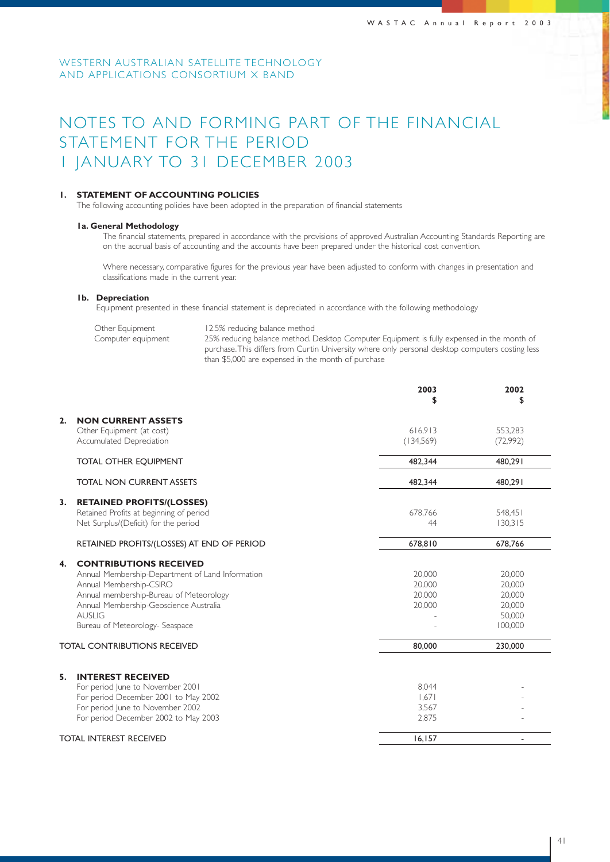## NOTES TO AND FORMING PART OF THE FINANCIAL STATEMENT FOR THE PERIOD 1 JANUARY TO 31 DECEMBER 2003

#### **1. STATEMENT OF ACCOUNTING POLICIES**

The following accounting policies have been adopted in the preparation of financial statements

#### **1a. General Methodology**

The financial statements, prepared in accordance with the provisions of approved Australian Accounting Standards Reporting are on the accrual basis of accounting and the accounts have been prepared under the historical cost convention.

Where necessary, comparative figures for the previous year have been adjusted to conform with changes in presentation and classifications made in the current year.

#### **1b. Depreciation**

Equipment presented in these financial statement is depreciated in accordance with the following methodology

| Other Equipment    | 12.5% reducing balance method                                                                    |
|--------------------|--------------------------------------------------------------------------------------------------|
| Computer equipment | 25% reducing balance method. Desktop Computer Equipment is fully expensed in the month of        |
|                    | purchase. This differs from Curtin University where only personal desktop computers costing less |
|                    | than \$5,000 are expensed in the month of purchase                                               |

|                                                                                                                                                                                                                                                              | 2003<br>\$                           | 2002<br>\$                                                |
|--------------------------------------------------------------------------------------------------------------------------------------------------------------------------------------------------------------------------------------------------------------|--------------------------------------|-----------------------------------------------------------|
| <b>NON CURRENT ASSETS</b><br>2.<br>Other Equipment (at cost)<br>Accumulated Depreciation                                                                                                                                                                     | 616.913<br>(134,569)                 | 553,283<br>(72,992)                                       |
| <b>TOTAL OTHER EQUIPMENT</b>                                                                                                                                                                                                                                 | 482,344                              | 480,291                                                   |
| <b>TOTAL NON CURRENT ASSETS</b>                                                                                                                                                                                                                              | 482,344                              | 480,291                                                   |
| 3.<br><b>RETAINED PROFITS/(LOSSES)</b><br>Retained Profits at beginning of period<br>Net Surplus/(Deficit) for the period                                                                                                                                    | 678.766<br>44                        | 548,451<br>130.315                                        |
| RETAINED PROFITS/(LOSSES) AT END OF PERIOD                                                                                                                                                                                                                   | 678,810                              | 678,766                                                   |
| <b>CONTRIBUTIONS RECEIVED</b><br>4.<br>Annual Membership-Department of Land Information<br>Annual Membership-CSIRO<br>Annual membership-Bureau of Meteorology<br>Annual Membership-Geoscience Australia<br><b>AUSI IG</b><br>Bureau of Meteorology- Seaspace | 20,000<br>20,000<br>20,000<br>20,000 | 20,000<br>20,000<br>20,000<br>20,000<br>50,000<br>100,000 |
| <b>TOTAL CONTRIBUTIONS RECEIVED</b>                                                                                                                                                                                                                          | 80,000                               | 230,000                                                   |
| 5.<br><b>INTEREST RECEIVED</b><br>For period June to November 2001<br>For period December 2001 to May 2002<br>For period June to November 2002<br>For period December 2002 to May 2003                                                                       | 8.044<br>1,671<br>3,567<br>2,875     |                                                           |
| <b>TOTAL INTEREST RECEIVED</b>                                                                                                                                                                                                                               | 16, 157                              |                                                           |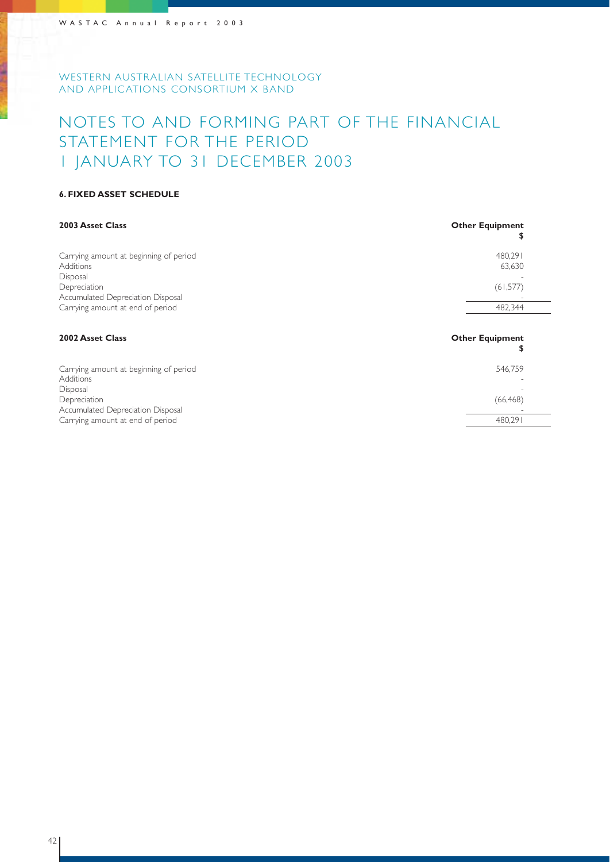## NOTES TO AND FORMING PART OF THE FINANCIAL STATEMENT FOR THE PERIOD 1 JANUARY TO 31 DECEMBER 2003

### **6. FIXED ASSET SCHEDULE**

| 2003 Asset Class                                                                                                            | <b>Other Equipment</b><br>\$   |
|-----------------------------------------------------------------------------------------------------------------------------|--------------------------------|
| Carrying amount at beginning of period<br><b>Additions</b><br>Disposal<br>Depreciation<br>Accumulated Depreciation Disposal | 480,291<br>63,630<br>(61, 577) |
| Carrying amount at end of period                                                                                            | 482,344                        |
| 2002 Asset Class                                                                                                            | <b>Other Equipment</b><br>\$   |
| Carrying amount at beginning of period<br><b>Additions</b><br>Disposal                                                      | 546,759                        |
| Depreciation<br>Accumulated Depreciation Disposal                                                                           | (66, 468)                      |
| Carrying amount at end of period                                                                                            | 480.291                        |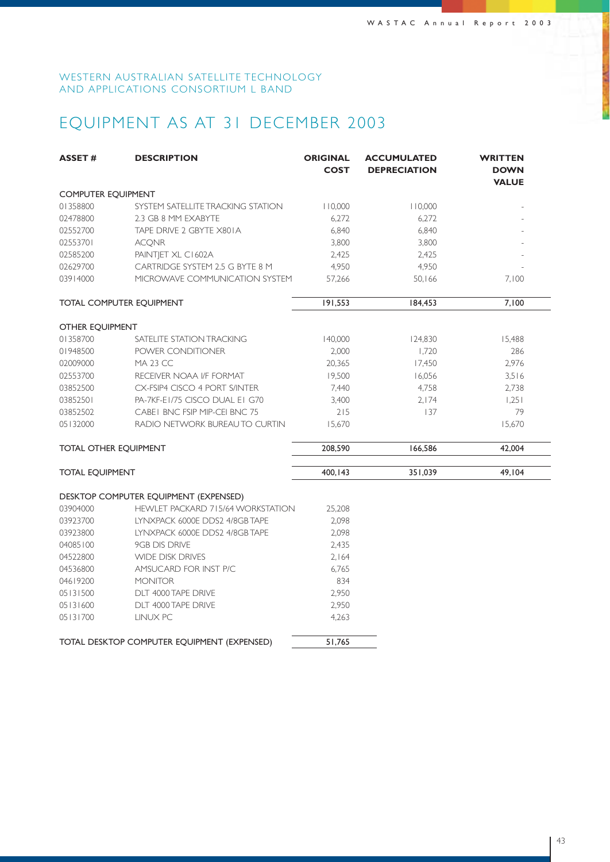## EQUIPMENT AS AT 31 DECEMBER 2003

| <b>ASSET#</b>                | <b>DESCRIPTION</b>                          | <b>ORIGINAL</b><br><b>COST</b> | <b>ACCUMULATED</b><br><b>DEPRECIATION</b> | <b>WRITTEN</b><br><b>DOWN</b><br><b>VALUE</b> |
|------------------------------|---------------------------------------------|--------------------------------|-------------------------------------------|-----------------------------------------------|
| COMPUTER EQUIPMENT           |                                             |                                |                                           |                                               |
| 01358800                     | SYSTEM SATELLITE TRACKING STATION           | 110,000                        | 110,000                                   |                                               |
| 02478800                     | 2.3 GB 8 MM EXABYTE                         | 6,272                          | 6,272                                     |                                               |
| 02552700                     | TAPE DRIVE 2 GBYTE X801A                    | 6,840                          | 6,840                                     |                                               |
| 02553701                     | <b>ACQNR</b>                                | 3,800                          | 3,800                                     |                                               |
| 02585200                     | PAINTJET XL C1602A                          | 2,425                          | 2,425                                     |                                               |
| 02629700                     | CARTRIDGE SYSTEM 2.5 G BYTE 8 M             | 4,950                          | 4,950                                     |                                               |
| 03914000                     | MICROWAVE COMMUNICATION SYSTEM              | 57,266                         | 50,166                                    | 7,100                                         |
|                              | TOTAL COMPUTER EQUIPMENT                    | 191,553                        | 184,453                                   | 7,100                                         |
| OTHER EQUIPMENT              |                                             |                                |                                           |                                               |
| 01358700                     | SATELITE STATION TRACKING                   | 140,000                        | 124,830                                   | 15,488                                        |
| 01948500                     | POWER CONDITIONER                           | 2,000                          | 1,720                                     | 286                                           |
| 02009000                     | <b>MA 23 CC</b>                             | 20,365                         | 17,450                                    | 2,976                                         |
| 02553700                     | RECEIVER NOAA I/F FORMAT                    | 19,500                         | 16,056                                    | 3,516                                         |
| 03852500                     | CX-FSIP4 CISCO 4 PORT S/INTER               | 7,440                          | 4,758                                     | 2,738                                         |
| 03852501                     | PA-7KF-E1/75 CISCO DUAL E1 G70              | 3,400                          | 2,174                                     | 1.251                                         |
| 03852502                     | CABEI BNC FSIP MIP-CEI BNC 75               | 215                            | 137                                       | 79                                            |
| 05132000                     | RADIO NETWORK BUREAUTO CURTIN               | 15,670                         |                                           | 15,670                                        |
| <b>TOTAL OTHER EQUIPMENT</b> |                                             | 208,590                        | 166,586                                   | 42,004                                        |
| <b>TOTAL EQUIPMENT</b>       |                                             | 400,143                        | 351,039                                   | 49,104                                        |
|                              | DESKTOP COMPUTER EQUIPMENT (EXPENSED)       |                                |                                           |                                               |
| 03904000                     | <b>HEWLET PACKARD 715/64 WORKSTATION</b>    | 25,208                         |                                           |                                               |
| 03923700                     | LYNXPACK 6000E DDS2 4/8GB TAPE              | 2,098                          |                                           |                                               |
| 03923800                     | LYNXPACK 6000E DDS2 4/8GB TAPE              | 2,098                          |                                           |                                               |
| 04085100                     | 9GB DIS DRIVE                               | 2,435                          |                                           |                                               |
| 04522800                     | <b>WIDE DISK DRIVES</b>                     | 2,164                          |                                           |                                               |
| 04536800                     | AMSUCARD FOR INST P/C                       | 6,765                          |                                           |                                               |
| 04619200                     | <b>MONITOR</b>                              | 834                            |                                           |                                               |
| 05131500                     | DLT 4000 TAPE DRIVE                         | 2,950                          |                                           |                                               |
| 05131600                     | DLT 4000 TAPE DRIVE                         | 2,950                          |                                           |                                               |
| 05131700                     | LINUX PC                                    | 4,263                          |                                           |                                               |
|                              | TOTAL DESKTOP COMPUTER EQUIPMENT (EXPENSED) | 51,765                         |                                           |                                               |